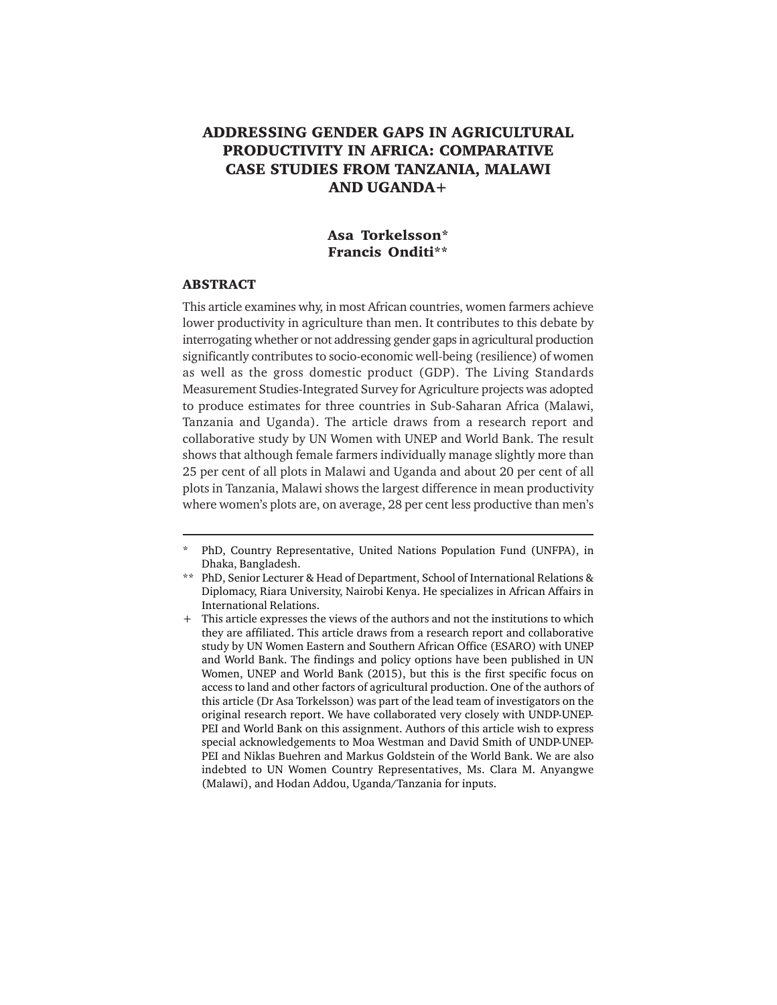# **ADDRESSING GENDER GAPS IN AGRICULTURAL PRODUCTIVITY IN AFRICA: COMPARATIVE CASE STUDIES FROM TANZANIA, MALAWI AND UGANDA+**

### **Asa Torkelsson\* Francis Onditi\*\***

#### **ABSTRACT**

This article examines why, in most African countries, women farmers achieve lower productivity in agriculture than men. It contributes to this debate by interrogating whether or not addressing gender gaps in agricultural production significantly contributes to socio-economic well-being (resilience) of women as well as the gross domestic product (GDP). The Living Standards Measurement Studies-Integrated Survey for Agriculture projects was adopted to produce estimates for three countries in Sub-Saharan Africa (Malawi, Tanzania and Uganda). The article draws from a research report and collaborative study by UN Women with UNEP and World Bank. The result shows that although female farmers individually manage slightly more than 25 per cent of all plots in Malawi and Uganda and about 20 per cent of all plots in Tanzania, Malawi shows the largest difference in mean productivity where women's plots are, on average, 28 per cent less productive than men's

<sup>\*</sup> PhD, Country Representative, United Nations Population Fund (UNFPA), in Dhaka, Bangladesh.

<sup>\*\*</sup> PhD, Senior Lecturer & Head of Department, School of International Relations & Diplomacy, Riara University, Nairobi Kenya. He specializes in African Affairs in International Relations.

<sup>+</sup> This article expresses the views of the authors and not the institutions to which they are affiliated. This article draws from a research report and collaborative study by UN Women Eastern and Southern African Office (ESARO) with UNEP and World Bank. The findings and policy options have been published in UN Women, UNEP and World Bank (2015), but this is the first specific focus on access to land and other factors of agricultural production. One of the authors of this article (Dr Asa Torkelsson) was part of the lead team of investigators on the original research report. We have collaborated very closely with UNDP-UNEP-PEI and World Bank on this assignment. Authors of this article wish to express special acknowledgements to Moa Westman and David Smith of UNDP-UNEP-PEI and Niklas Buehren and Markus Goldstein of the World Bank. We are also indebted to UN Women Country Representatives, Ms. Clara M. Anyangwe (Malawi), and Hodan Addou, Uganda/Tanzania for inputs.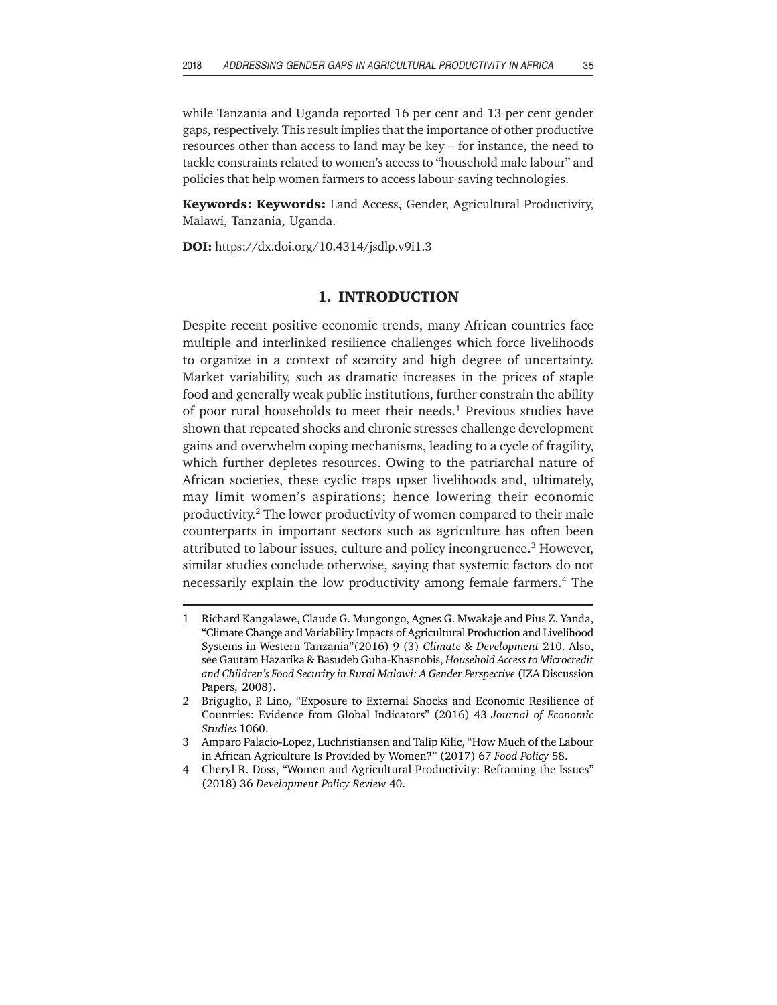while Tanzania and Uganda reported 16 per cent and 13 per cent gender gaps, respectively. This result implies that the importance of other productive resources other than access to land may be key – for instance, the need to tackle constraints related to women's access to "household male labour" and policies that help women farmers to access labour-saving technologies.

**Keywords: Keywords:** Land Access, Gender, Agricultural Productivity, Malawi, Tanzania, Uganda.

**DOI:** https://dx.doi.org/10.4314/jsdlp.v9i1.3

### **1. INTRODUCTION**

Despite recent positive economic trends, many African countries face multiple and interlinked resilience challenges which force livelihoods to organize in a context of scarcity and high degree of uncertainty. Market variability, such as dramatic increases in the prices of staple food and generally weak public institutions, further constrain the ability of poor rural households to meet their needs.<sup>1</sup> Previous studies have shown that repeated shocks and chronic stresses challenge development gains and overwhelm coping mechanisms, leading to a cycle of fragility, which further depletes resources. Owing to the patriarchal nature of African societies, these cyclic traps upset livelihoods and, ultimately, may limit women's aspirations; hence lowering their economic productivity.2 The lower productivity of women compared to their male counterparts in important sectors such as agriculture has often been attributed to labour issues, culture and policy incongruence.3 However, similar studies conclude otherwise, saying that systemic factors do not necessarily explain the low productivity among female farmers.4 The

<sup>1</sup> Richard Kangalawe, Claude G. Mungongo, Agnes G. Mwakaje and Pius Z. Yanda, "Climate Change and Variability Impacts of Agricultural Production and Livelihood Systems in Western Tanzania"(2016) 9 (3) *Climate & Development* 210. Also, see Gautam Hazarika & Basudeb Guha-Khasnobis, *Household Access to Microcredit and Children's Food Security in Rural Malawi: A Gender Perspective* (IZA Discussion Papers, 2008).

<sup>2</sup> Briguglio, P. Lino, "Exposure to External Shocks and Economic Resilience of Countries: Evidence from Global Indicators" (2016) 43 *Journal of Economic Studies* 1060.

<sup>3</sup> Amparo Palacio-Lopez, Luchristiansen and Talip Kilic, "How Much of the Labour in African Agriculture Is Provided by Women?" (2017) 67 *Food Policy* 58.

<sup>4</sup> Cheryl R. Doss, "Women and Agricultural Productivity: Reframing the Issues" (2018) 36 *Development Policy Review* 40.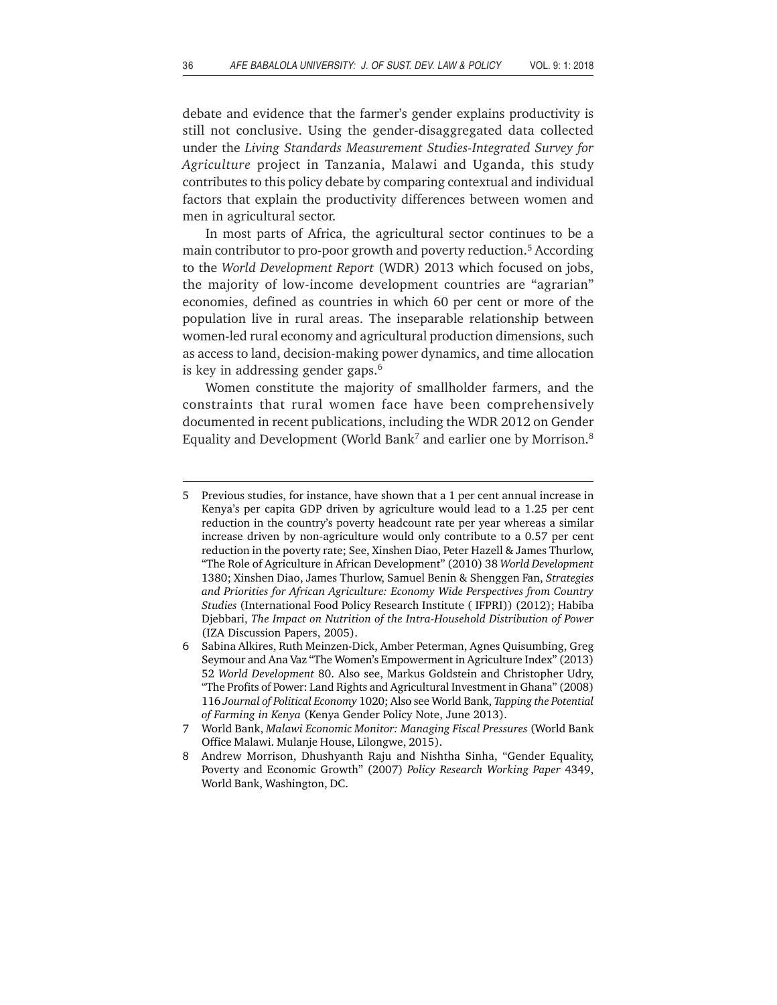debate and evidence that the farmer's gender explains productivity is still not conclusive. Using the gender-disaggregated data collected under the *Living Standards Measurement Studies-Integrated Survey for Agriculture* project in Tanzania, Malawi and Uganda, this study contributes to this policy debate by comparing contextual and individual factors that explain the productivity differences between women and men in agricultural sector.

In most parts of Africa, the agricultural sector continues to be a main contributor to pro-poor growth and poverty reduction.<sup>5</sup> According to the *World Development Report* (WDR) 2013 which focused on jobs, the majority of low-income development countries are "agrarian" economies, defined as countries in which 60 per cent or more of the population live in rural areas. The inseparable relationship between women-led rural economy and agricultural production dimensions, such as access to land, decision-making power dynamics, and time allocation is key in addressing gender gaps.<sup>6</sup>

Women constitute the majority of smallholder farmers, and the constraints that rural women face have been comprehensively documented in recent publications, including the WDR 2012 on Gender Equality and Development (World Bank<sup>7</sup> and earlier one by Morrison.<sup>8</sup>

<sup>5</sup> Previous studies, for instance, have shown that a 1 per cent annual increase in Kenya's per capita GDP driven by agriculture would lead to a 1.25 per cent reduction in the country's poverty headcount rate per year whereas a similar increase driven by non-agriculture would only contribute to a 0.57 per cent reduction in the poverty rate; See, Xinshen Diao, Peter Hazell & James Thurlow, "The Role of Agriculture in African Development" (2010) 38 *World Development* 1380; Xinshen Diao, James Thurlow, Samuel Benin & Shenggen Fan, *Strategies and Priorities for African Agriculture: Economy Wide Perspectives from Country Studies* (International Food Policy Research Institute ( IFPRI)) (2012); Habiba Djebbari, *The Impact on Nutrition of the Intra-Household Distribution of Power* (IZA Discussion Papers, 2005).

<sup>6</sup> Sabina Alkires, Ruth Meinzen-Dick, Amber Peterman, Agnes Quisumbing, Greg Seymour and Ana Vaz "The Women's Empowerment in Agriculture Index" (2013) 52 *World Development* 80. Also see, Markus Goldstein and Christopher Udry, "The Profits of Power: Land Rights and Agricultural Investment in Ghana" (2008) 116 *Journal of Political Economy* 1020; Also see World Bank, *Tapping the Potential of Farming in Kenya* (Kenya Gender Policy Note, June 2013).

<sup>7</sup> World Bank, *Malawi Economic Monitor: Managing Fiscal Pressures* (World Bank Office Malawi. Mulanje House, Lilongwe, 2015).

<sup>8</sup> Andrew Morrison, Dhushyanth Raju and Nishtha Sinha, "Gender Equality, Poverty and Economic Growth" (2007) *Policy Research Working Paper* 4349, World Bank, Washington, DC.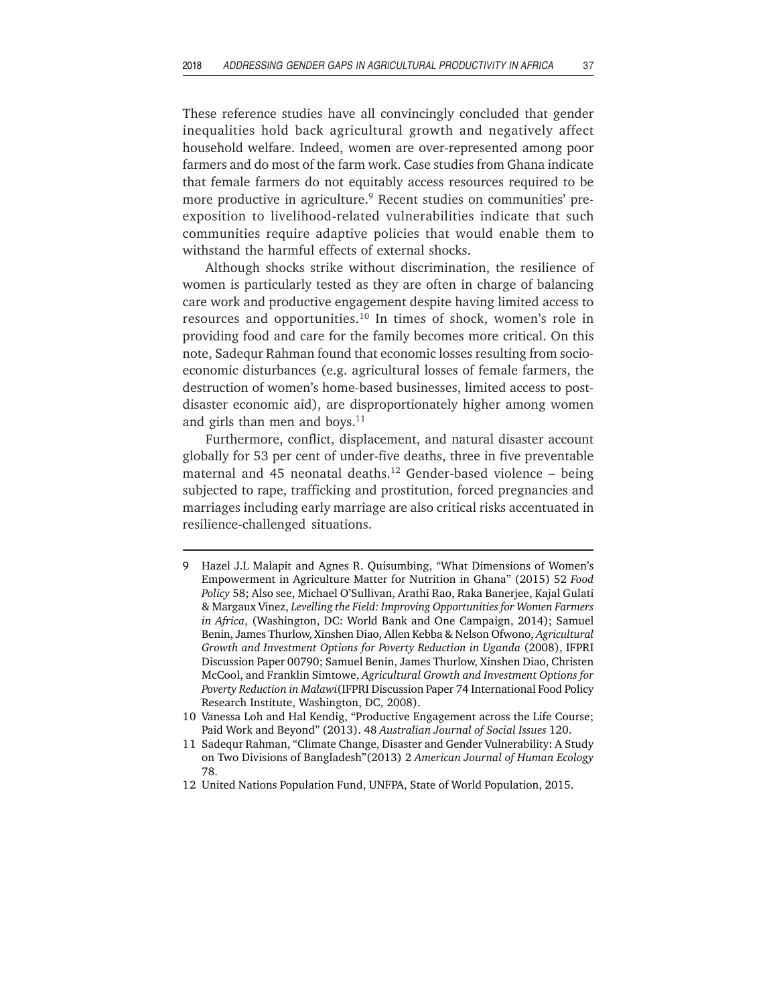These reference studies have all convincingly concluded that gender inequalities hold back agricultural growth and negatively affect household welfare. Indeed, women are over-represented among poor farmers and do most of the farm work. Case studies from Ghana indicate that female farmers do not equitably access resources required to be more productive in agriculture.<sup>9</sup> Recent studies on communities' preexposition to livelihood-related vulnerabilities indicate that such communities require adaptive policies that would enable them to withstand the harmful effects of external shocks.

Although shocks strike without discrimination, the resilience of women is particularly tested as they are often in charge of balancing care work and productive engagement despite having limited access to resources and opportunities.10 In times of shock, women's role in providing food and care for the family becomes more critical. On this note, Sadequr Rahman found that economic losses resulting from socioeconomic disturbances (e.g. agricultural losses of female farmers, the destruction of women's home-based businesses, limited access to postdisaster economic aid), are disproportionately higher among women and girls than men and boys. $11$ 

Furthermore, conflict, displacement, and natural disaster account globally for 53 per cent of under-five deaths, three in five preventable maternal and 45 neonatal deaths.<sup>12</sup> Gender-based violence  $-$  being subjected to rape, trafficking and prostitution, forced pregnancies and marriages including early marriage are also critical risks accentuated in resilience-challenged situations.

- Hazel J.L Malapit and Agnes R. Quisumbing, "What Dimensions of Women's Empowerment in Agriculture Matter for Nutrition in Ghana" (2015) 52 *Food Policy* 58; Also see, Michael O'Sullivan, Arathi Rao, Raka Banerjee, Kajal Gulati & Margaux Vinez, *Levelling the Field: Improving Opportunities for Women Farmers in Africa*, (Washington, DC: World Bank and One Campaign, 2014); Samuel Benin, James Thurlow, Xinshen Diao, Allen Kebba & Nelson Ofwono, *Agricultural Growth and Investment Options for Poverty Reduction in Uganda* (2008), IFPRI Discussion Paper 00790; Samuel Benin, James Thurlow, Xinshen Diao, Christen McCool, and Franklin Simtowe, *Agricultural Growth and Investment Options for Poverty Reduction in Malawi*(IFPRI Discussion Paper 74 International Food Policy Research Institute, Washington, DC, 2008).
- 10 Vanessa Loh and Hal Kendig, "Productive Engagement across the Life Course; Paid Work and Beyond" (2013). 48 *Australian Journal of Social Issues* 120.
- 11 Sadequr Rahman, "Climate Change, Disaster and Gender Vulnerability: A Study on Two Divisions of Bangladesh"(2013) 2 *American Journal of Human Ecology* 78.
- 12 United Nations Population Fund, UNFPA, State of World Population, 2015.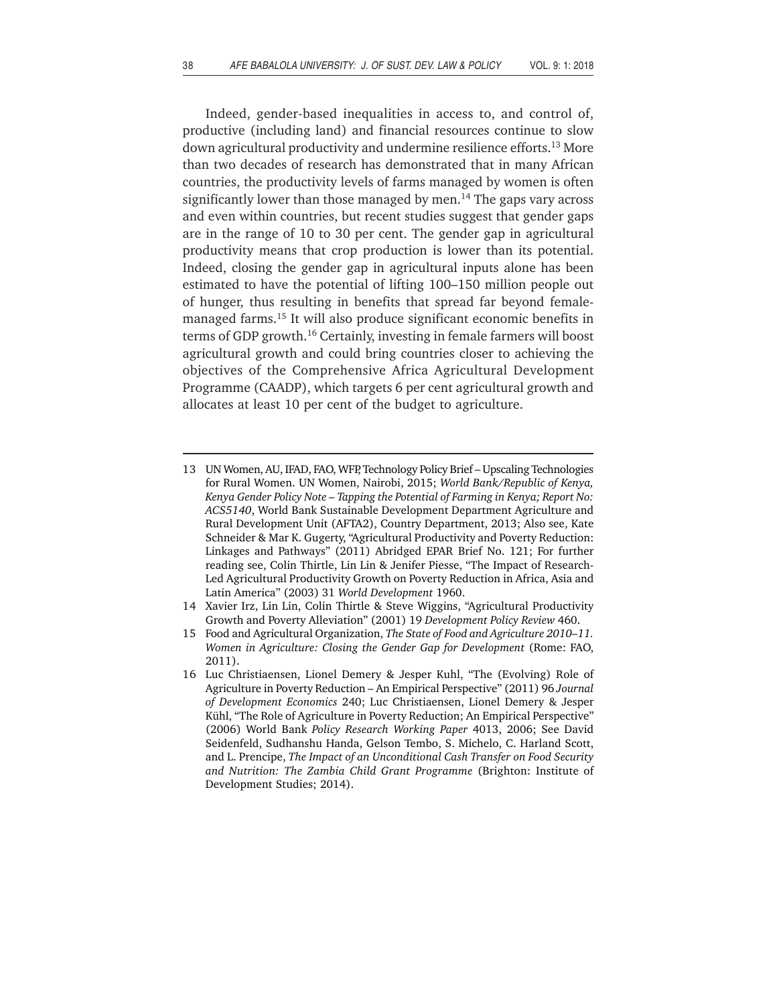Indeed, gender-based inequalities in access to, and control of, productive (including land) and financial resources continue to slow down agricultural productivity and undermine resilience efforts.13 More than two decades of research has demonstrated that in many African countries, the productivity levels of farms managed by women is often significantly lower than those managed by men.<sup>14</sup> The gaps vary across and even within countries, but recent studies suggest that gender gaps are in the range of 10 to 30 per cent. The gender gap in agricultural productivity means that crop production is lower than its potential. Indeed, closing the gender gap in agricultural inputs alone has been estimated to have the potential of lifting 100–150 million people out of hunger, thus resulting in benefits that spread far beyond femalemanaged farms.15 It will also produce significant economic benefits in terms of GDP growth.16 Certainly, investing in female farmers will boost agricultural growth and could bring countries closer to achieving the objectives of the Comprehensive Africa Agricultural Development Programme (CAADP), which targets 6 per cent agricultural growth and allocates at least 10 per cent of the budget to agriculture.

- 13 UN Women, AU, IFAD, FAO, WFP, Technology Policy Brief Upscaling Technologies for Rural Women. UN Women, Nairobi, 2015; *World Bank/Republic of Kenya, Kenya Gender Policy Note – Tapping the Potential of Farming in Kenya; Report No: ACS5140*, World Bank Sustainable Development Department Agriculture and Rural Development Unit (AFTA2), Country Department, 2013; Also see, Kate Schneider & Mar K. Gugerty, "Agricultural Productivity and Poverty Reduction: Linkages and Pathways" (2011) Abridged EPAR Brief No. 121; For further reading see, Colin Thirtle, Lin Lin & Jenifer Piesse, "The Impact of Research-Led Agricultural Productivity Growth on Poverty Reduction in Africa, Asia and Latin America" (2003) 31 *World Development* 1960.
- 14 Xavier Irz, Lin Lin, Colin Thirtle & Steve Wiggins, "Agricultural Productivity Growth and Poverty Alleviation" (2001) 19 *Development Policy Review* 460.
- 15 Food and Agricultural Organization, *The State of Food and Agriculture 2010–11. Women in Agriculture: Closing the Gender Gap for Development* (Rome: FAO, 2011).
- 16 Luc Christiaensen, Lionel Demery & Jesper Kuhl, "The (Evolving) Role of Agriculture in Poverty Reduction – An Empirical Perspective" (2011) 96 *Journal of Development Economics* 240; Luc Christiaensen, Lionel Demery & Jesper Kühl, "The Role of Agriculture in Poverty Reduction; An Empirical Perspective" (2006) World Bank *Policy Research Working Paper* 4013, 2006; See David Seidenfeld, Sudhanshu Handa, Gelson Tembo, S. Michelo, C. Harland Scott, and L. Prencipe, *The Impact of an Unconditional Cash Transfer on Food Security and Nutrition: The Zambia Child Grant Programme* (Brighton: Institute of Development Studies; 2014).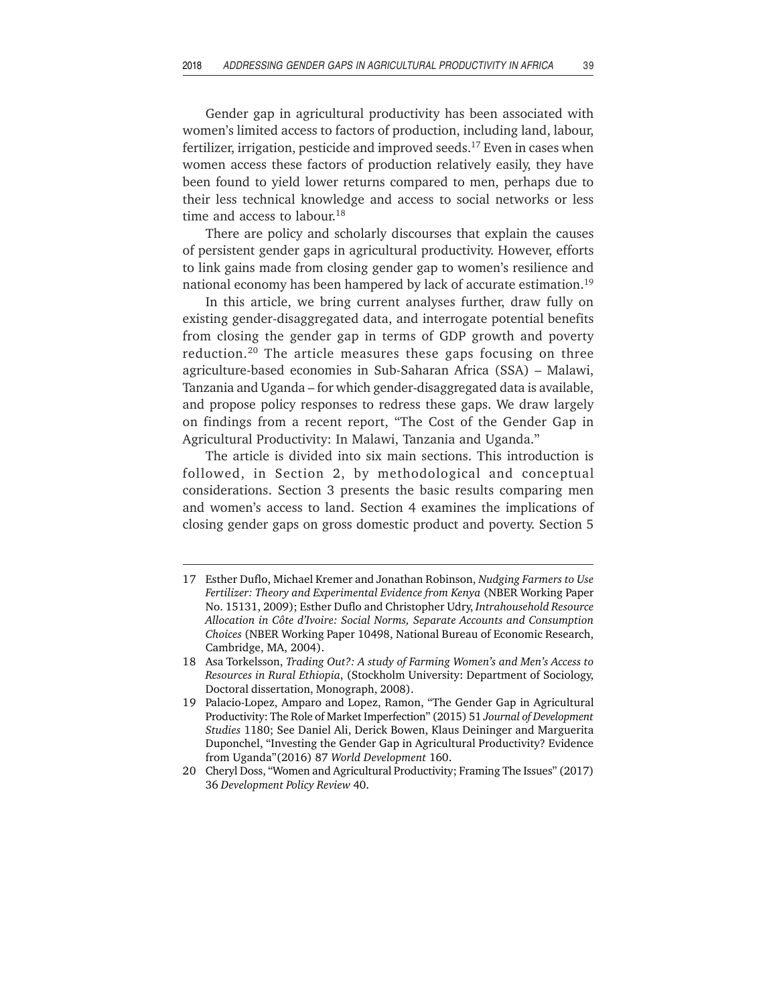Gender gap in agricultural productivity has been associated with women's limited access to factors of production, including land, labour, fertilizer, irrigation, pesticide and improved seeds.17 Even in cases when women access these factors of production relatively easily, they have been found to yield lower returns compared to men, perhaps due to their less technical knowledge and access to social networks or less time and access to labour.<sup>18</sup>

There are policy and scholarly discourses that explain the causes of persistent gender gaps in agricultural productivity. However, efforts to link gains made from closing gender gap to women's resilience and national economy has been hampered by lack of accurate estimation.<sup>19</sup>

In this article, we bring current analyses further, draw fully on existing gender-disaggregated data, and interrogate potential benefits from closing the gender gap in terms of GDP growth and poverty reduction.20 The article measures these gaps focusing on three agriculture-based economies in Sub-Saharan Africa (SSA) – Malawi, Tanzania and Uganda – for which gender-disaggregated data is available, and propose policy responses to redress these gaps. We draw largely on findings from a recent report, "The Cost of the Gender Gap in Agricultural Productivity: In Malawi, Tanzania and Uganda."

The article is divided into six main sections. This introduction is followed, in Section 2, by methodological and conceptual considerations. Section 3 presents the basic results comparing men and women's access to land. Section 4 examines the implications of closing gender gaps on gross domestic product and poverty. Section 5

<sup>17</sup> Esther Duflo, Michael Kremer and Jonathan Robinson, *Nudging Farmers to Use Fertilizer: Theory and Experimental Evidence from Kenya* (NBER Working Paper No. 15131, 2009); Esther Duflo and Christopher Udry, *Intrahousehold Resource Allocation in Côte d'Ivoire: Social Norms, Separate Accounts and Consumption Choices* (NBER Working Paper 10498, National Bureau of Economic Research, Cambridge, MA, 2004).

<sup>18</sup> Asa Torkelsson, *Trading Out?: A study of Farming Women's and Men's Access to Resources in Rural Ethiopia*, (Stockholm University: Department of Sociology, Doctoral dissertation, Monograph, 2008).

<sup>19</sup> Palacio-Lopez, Amparo and Lopez, Ramon, "The Gender Gap in Agricultural Productivity: The Role of Market Imperfection" (2015) 51 *Journal of Development Studies* 1180; See Daniel Ali, Derick Bowen, Klaus Deininger and Marguerita Duponchel, "Investing the Gender Gap in Agricultural Productivity? Evidence from Uganda"(2016) 87 *World Development* 160.

<sup>20</sup> Cheryl Doss, "Women and Agricultural Productivity; Framing The Issues" (2017) 36 *Development Policy Review* 40.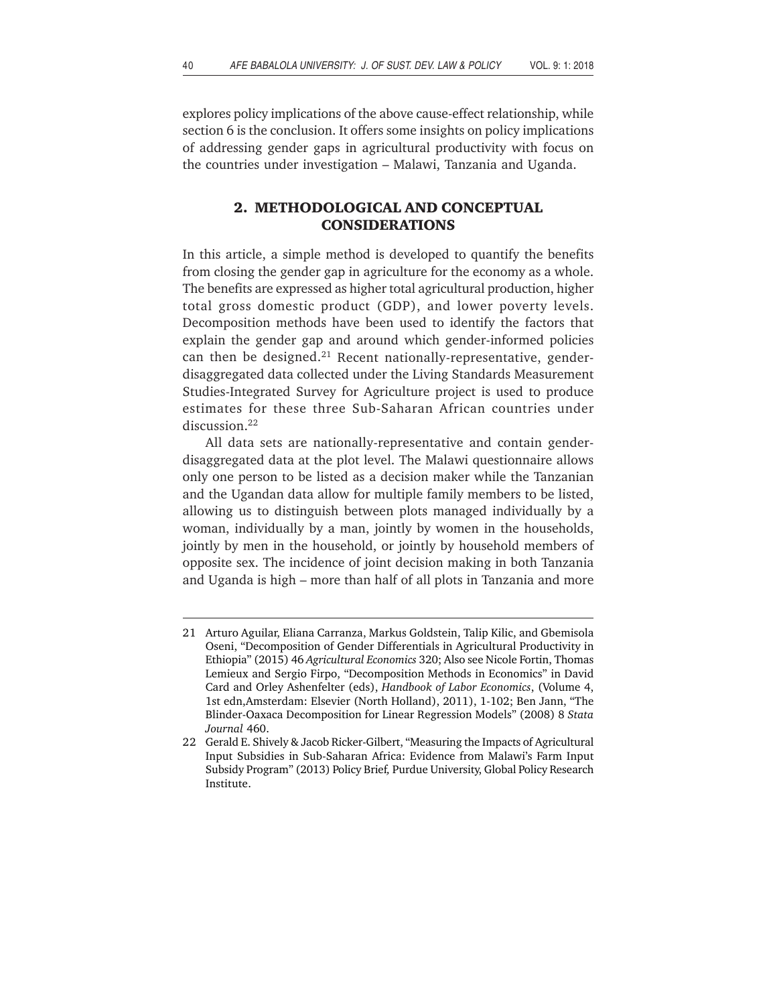explores policy implications of the above cause-effect relationship, while section 6 is the conclusion. It offers some insights on policy implications of addressing gender gaps in agricultural productivity with focus on the countries under investigation – Malawi, Tanzania and Uganda.

## **2. METHODOLOGICAL AND CONCEPTUAL CONSIDERATIONS**

In this article, a simple method is developed to quantify the benefits from closing the gender gap in agriculture for the economy as a whole. The benefits are expressed as higher total agricultural production, higher total gross domestic product (GDP), and lower poverty levels. Decomposition methods have been used to identify the factors that explain the gender gap and around which gender-informed policies can then be designed.<sup>21</sup> Recent nationally-representative, genderdisaggregated data collected under the Living Standards Measurement Studies-Integrated Survey for Agriculture project is used to produce estimates for these three Sub-Saharan African countries under discussion.<sup>22</sup>

All data sets are nationally-representative and contain genderdisaggregated data at the plot level. The Malawi questionnaire allows only one person to be listed as a decision maker while the Tanzanian and the Ugandan data allow for multiple family members to be listed, allowing us to distinguish between plots managed individually by a woman, individually by a man, jointly by women in the households, jointly by men in the household, or jointly by household members of opposite sex. The incidence of joint decision making in both Tanzania and Uganda is high – more than half of all plots in Tanzania and more

<sup>21</sup> Arturo Aguilar, Eliana Carranza, Markus Goldstein, Talip Kilic, and Gbemisola Oseni, "Decomposition of Gender Differentials in Agricultural Productivity in Ethiopia" (2015) 46 *Agricultural Economics* 320; Also see Nicole Fortin, Thomas Lemieux and Sergio Firpo, "Decomposition Methods in Economics" in David Card and Orley Ashenfelter (eds), *Handbook of Labor Economics*, (Volume 4, 1st edn,Amsterdam: Elsevier (North Holland), 2011), 1-102; Ben Jann, "The Blinder-Oaxaca Decomposition for Linear Regression Models" (2008) 8 *Stata Journal* 460.

<sup>22</sup> Gerald E. Shively & Jacob Ricker-Gilbert, "Measuring the Impacts of Agricultural Input Subsidies in Sub-Saharan Africa: Evidence from Malawi's Farm Input Subsidy Program" (2013) Policy Brief*,* Purdue University, Global Policy Research Institute.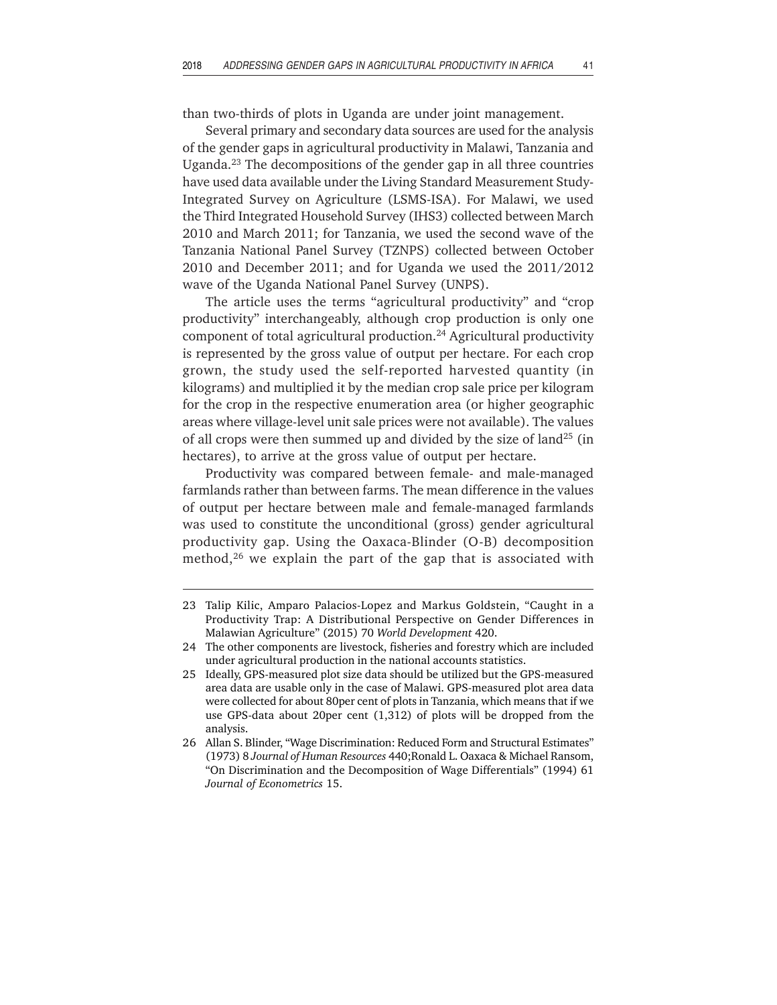than two-thirds of plots in Uganda are under joint management.

Several primary and secondary data sources are used for the analysis of the gender gaps in agricultural productivity in Malawi, Tanzania and Uganda.23 The decompositions of the gender gap in all three countries have used data available under the Living Standard Measurement Study-Integrated Survey on Agriculture (LSMS-ISA). For Malawi, we used the Third Integrated Household Survey (IHS3) collected between March 2010 and March 2011; for Tanzania, we used the second wave of the Tanzania National Panel Survey (TZNPS) collected between October 2010 and December 2011; and for Uganda we used the 2011/2012 wave of the Uganda National Panel Survey (UNPS).

The article uses the terms "agricultural productivity" and "crop productivity" interchangeably, although crop production is only one component of total agricultural production.24 Agricultural productivity is represented by the gross value of output per hectare. For each crop grown, the study used the self-reported harvested quantity (in kilograms) and multiplied it by the median crop sale price per kilogram for the crop in the respective enumeration area (or higher geographic areas where village-level unit sale prices were not available). The values of all crops were then summed up and divided by the size of land<sup>25</sup> (in hectares), to arrive at the gross value of output per hectare.

Productivity was compared between female- and male-managed farmlands rather than between farms. The mean difference in the values of output per hectare between male and female-managed farmlands was used to constitute the unconditional (gross) gender agricultural productivity gap. Using the Oaxaca-Blinder (O-B) decomposition method,<sup>26</sup> we explain the part of the gap that is associated with

<sup>23</sup> Talip Kilic, Amparo Palacios-Lopez and Markus Goldstein, "Caught in a Productivity Trap: A Distributional Perspective on Gender Differences in Malawian Agriculture" (2015) 70 *World Development* 420.

<sup>24</sup> The other components are livestock, fisheries and forestry which are included under agricultural production in the national accounts statistics.

<sup>25</sup> Ideally, GPS-measured plot size data should be utilized but the GPS-measured area data are usable only in the case of Malawi. GPS-measured plot area data were collected for about 80per cent of plots in Tanzania, which means that if we use GPS-data about 20per cent (1,312) of plots will be dropped from the analysis.

<sup>26</sup> Allan S. Blinder, "Wage Discrimination: Reduced Form and Structural Estimates" (1973) 8 *Journal of Human Resources* 440;Ronald L. Oaxaca & Michael Ransom, "On Discrimination and the Decomposition of Wage Differentials" (1994) 61 *Journal of Econometrics* 15.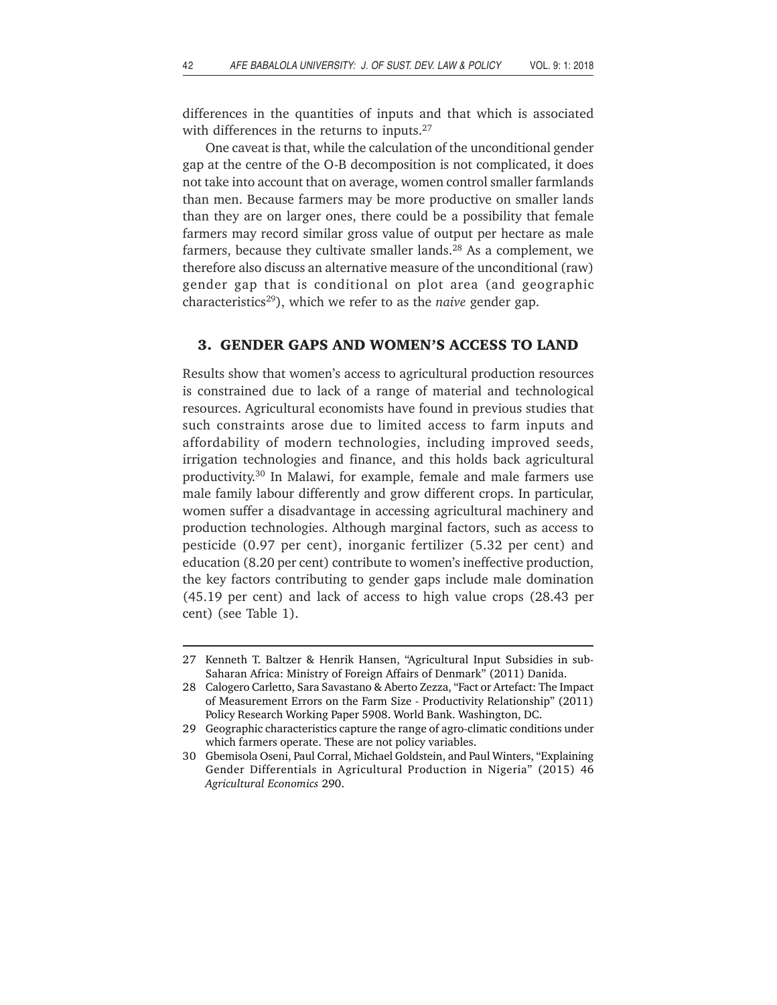differences in the quantities of inputs and that which is associated with differences in the returns to inputs.<sup>27</sup>

One caveat is that, while the calculation of the unconditional gender gap at the centre of the O-B decomposition is not complicated, it does not take into account that on average, women control smaller farmlands than men. Because farmers may be more productive on smaller lands than they are on larger ones, there could be a possibility that female farmers may record similar gross value of output per hectare as male farmers, because they cultivate smaller lands.<sup>28</sup> As a complement, we therefore also discuss an alternative measure of the unconditional (raw) gender gap that is conditional on plot area (and geographic characteristics29), which we refer to as the *naive* gender gap.

### **3. GENDER GAPS AND WOMEN'S ACCESS TO LAND**

Results show that women's access to agricultural production resources is constrained due to lack of a range of material and technological resources. Agricultural economists have found in previous studies that such constraints arose due to limited access to farm inputs and affordability of modern technologies, including improved seeds, irrigation technologies and finance, and this holds back agricultural productivity.30 In Malawi, for example, female and male farmers use male family labour differently and grow different crops. In particular, women suffer a disadvantage in accessing agricultural machinery and production technologies. Although marginal factors, such as access to pesticide (0.97 per cent), inorganic fertilizer (5.32 per cent) and education (8.20 per cent) contribute to women's ineffective production, the key factors contributing to gender gaps include male domination (45.19 per cent) and lack of access to high value crops (28.43 per cent) (see Table 1).

<sup>27</sup> Kenneth T. Baltzer & Henrik Hansen, "Agricultural Input Subsidies in sub-Saharan Africa: Ministry of Foreign Affairs of Denmark" (2011) Danida.

<sup>28</sup> Calogero Carletto, Sara Savastano & Aberto Zezza, "Fact or Artefact: The Impact of Measurement Errors on the Farm Size - Productivity Relationship" (2011) Policy Research Working Paper 5908. World Bank. Washington, DC.

<sup>29</sup> Geographic characteristics capture the range of agro-climatic conditions under which farmers operate. These are not policy variables.

<sup>30</sup> Gbemisola Oseni, Paul Corral, Michael Goldstein, and Paul Winters, "Explaining Gender Differentials in Agricultural Production in Nigeria" (2015) 46 *Agricultural Economics* 290.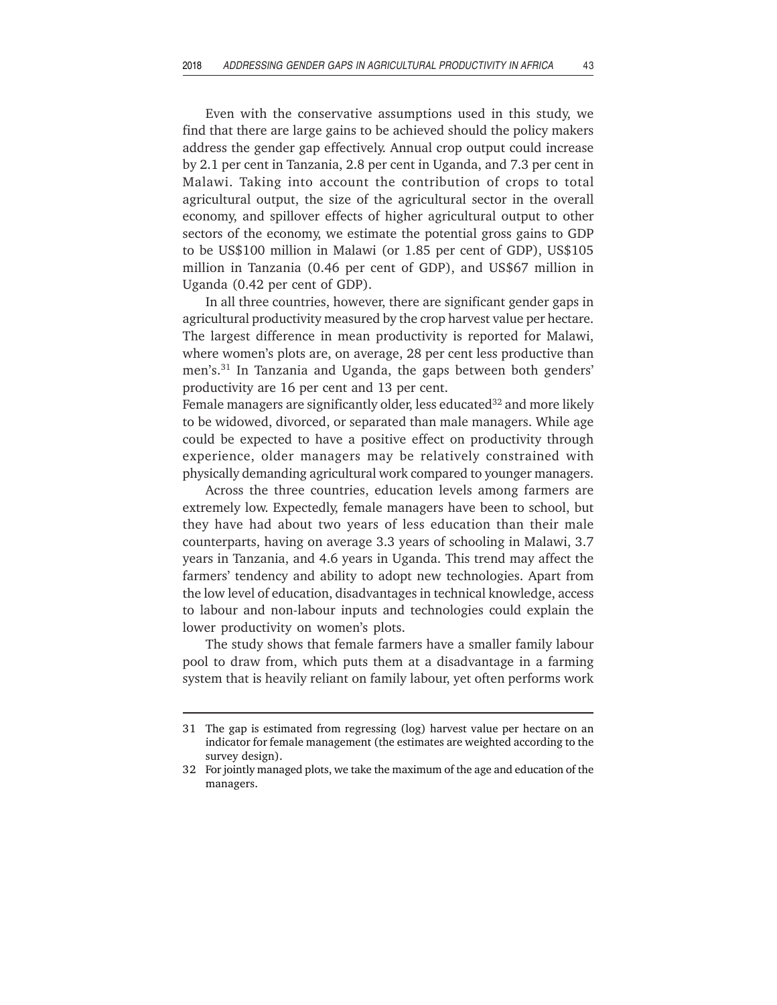Even with the conservative assumptions used in this study, we find that there are large gains to be achieved should the policy makers address the gender gap effectively. Annual crop output could increase by 2.1 per cent in Tanzania, 2.8 per cent in Uganda, and 7.3 per cent in Malawi. Taking into account the contribution of crops to total agricultural output, the size of the agricultural sector in the overall economy, and spillover effects of higher agricultural output to other sectors of the economy, we estimate the potential gross gains to GDP to be US\$100 million in Malawi (or 1.85 per cent of GDP), US\$105 million in Tanzania (0.46 per cent of GDP), and US\$67 million in Uganda (0.42 per cent of GDP).

In all three countries, however, there are significant gender gaps in agricultural productivity measured by the crop harvest value per hectare. The largest difference in mean productivity is reported for Malawi, where women's plots are, on average, 28 per cent less productive than men's.<sup>31</sup> In Tanzania and Uganda, the gaps between both genders' productivity are 16 per cent and 13 per cent.

Female managers are significantly older, less educated<sup>32</sup> and more likely to be widowed, divorced, or separated than male managers. While age could be expected to have a positive effect on productivity through experience, older managers may be relatively constrained with physically demanding agricultural work compared to younger managers.

Across the three countries, education levels among farmers are extremely low. Expectedly, female managers have been to school, but they have had about two years of less education than their male counterparts, having on average 3.3 years of schooling in Malawi, 3.7 years in Tanzania, and 4.6 years in Uganda. This trend may affect the farmers' tendency and ability to adopt new technologies. Apart from the low level of education, disadvantages in technical knowledge, access to labour and non-labour inputs and technologies could explain the lower productivity on women's plots.

The study shows that female farmers have a smaller family labour pool to draw from, which puts them at a disadvantage in a farming system that is heavily reliant on family labour, yet often performs work

<sup>31</sup> The gap is estimated from regressing (log) harvest value per hectare on an indicator for female management (the estimates are weighted according to the survey design).

<sup>32</sup> For jointly managed plots, we take the maximum of the age and education of the managers.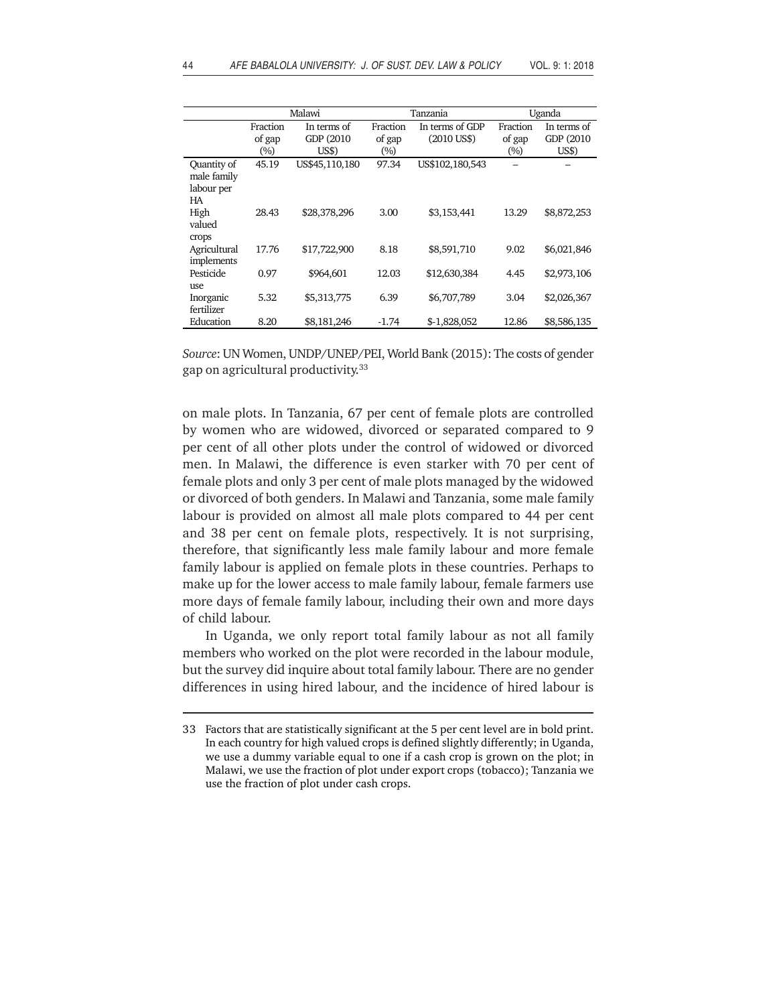|                                                | Malawi                    |                                    |                           | Tanzania                         | Uganda                    |                                    |
|------------------------------------------------|---------------------------|------------------------------------|---------------------------|----------------------------------|---------------------------|------------------------------------|
|                                                | Fraction<br>of gap<br>(%) | In terms of<br>GDP (2010)<br>US\$) | Fraction<br>of gap<br>(%) | In terms of GDP<br>$(2010$ US\$) | Fraction<br>of gap<br>(%) | In terms of<br>GDP (2010)<br>US\$) |
| Quantity of<br>male family<br>labour per<br>HА | 45.19                     | US\$45,110,180                     | 97.34                     | US\$102,180,543                  |                           |                                    |
| High<br>valued<br>crops                        | 28.43                     | \$28,378,296                       | 3.00                      | \$3,153,441                      | 13.29                     | \$8,872,253                        |
| Agricultural<br>implements                     | 17.76                     | \$17,722,900                       | 8.18                      | \$8,591,710                      | 9.02                      | \$6,021,846                        |
| Pesticide<br>use                               | 0.97                      | \$964,601                          | 12.03                     | \$12,630,384                     | 4.45                      | \$2,973,106                        |
| Inorganic<br>fertilizer                        | 5.32                      | \$5,313,775                        | 6.39                      | \$6,707,789                      | 3.04                      | \$2,026,367                        |
| Education                                      | 8.20                      | \$8,181,246                        | $-1.74$                   | \$-1.828,052                     | 12.86                     | \$8,586,135                        |

*Source*: UN Women, UNDP/UNEP/PEI, World Bank (2015): The costs of gender gap on agricultural productivity.33

on male plots. In Tanzania, 67 per cent of female plots are controlled by women who are widowed, divorced or separated compared to 9 per cent of all other plots under the control of widowed or divorced men. In Malawi, the difference is even starker with 70 per cent of female plots and only 3 per cent of male plots managed by the widowed or divorced of both genders. In Malawi and Tanzania, some male family labour is provided on almost all male plots compared to 44 per cent and 38 per cent on female plots, respectively. It is not surprising, therefore, that significantly less male family labour and more female family labour is applied on female plots in these countries. Perhaps to make up for the lower access to male family labour, female farmers use more days of female family labour, including their own and more days of child labour.

In Uganda, we only report total family labour as not all family members who worked on the plot were recorded in the labour module, but the survey did inquire about total family labour. There are no gender differences in using hired labour, and the incidence of hired labour is

<sup>33</sup> Factors that are statistically significant at the 5 per cent level are in bold print. In each country for high valued crops is defined slightly differently; in Uganda, we use a dummy variable equal to one if a cash crop is grown on the plot; in Malawi, we use the fraction of plot under export crops (tobacco); Tanzania we use the fraction of plot under cash crops.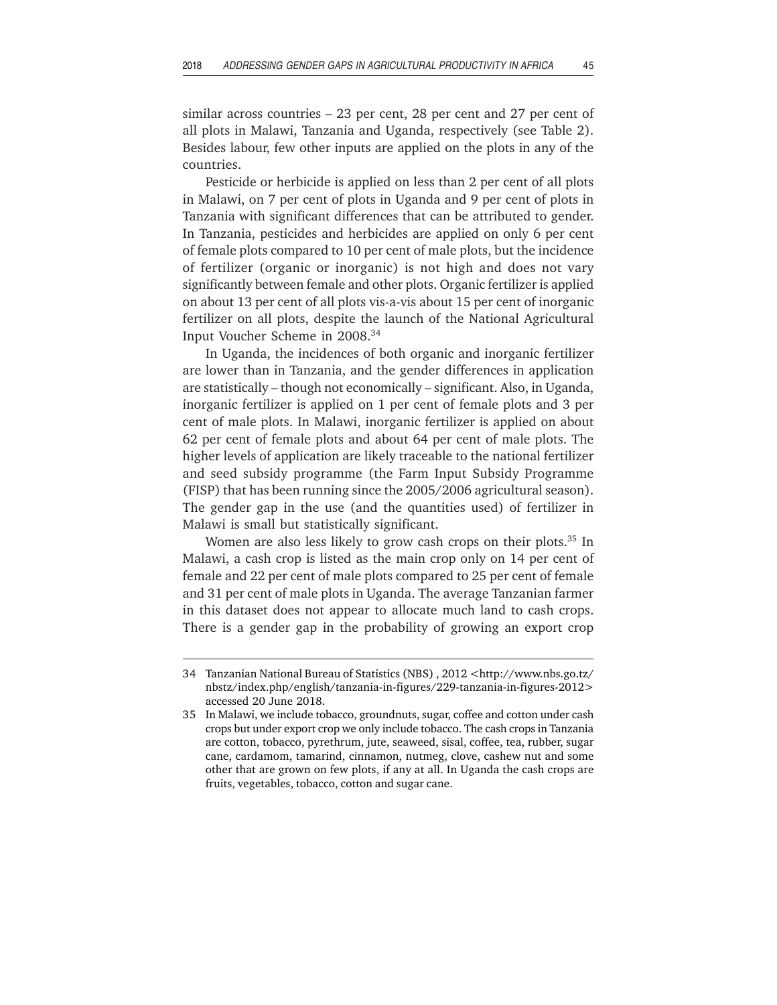similar across countries – 23 per cent, 28 per cent and 27 per cent of all plots in Malawi, Tanzania and Uganda, respectively (see Table 2). Besides labour, few other inputs are applied on the plots in any of the countries.

Pesticide or herbicide is applied on less than 2 per cent of all plots in Malawi, on 7 per cent of plots in Uganda and 9 per cent of plots in Tanzania with significant differences that can be attributed to gender. In Tanzania, pesticides and herbicides are applied on only 6 per cent of female plots compared to 10 per cent of male plots, but the incidence of fertilizer (organic or inorganic) is not high and does not vary significantly between female and other plots. Organic fertilizer is applied on about 13 per cent of all plots vis-a-vis about 15 per cent of inorganic fertilizer on all plots, despite the launch of the National Agricultural Input Voucher Scheme in 2008.34

In Uganda, the incidences of both organic and inorganic fertilizer are lower than in Tanzania, and the gender differences in application are statistically – though not economically – significant. Also, in Uganda, inorganic fertilizer is applied on 1 per cent of female plots and 3 per cent of male plots. In Malawi, inorganic fertilizer is applied on about 62 per cent of female plots and about 64 per cent of male plots. The higher levels of application are likely traceable to the national fertilizer and seed subsidy programme (the Farm Input Subsidy Programme (FISP) that has been running since the 2005/2006 agricultural season). The gender gap in the use (and the quantities used) of fertilizer in Malawi is small but statistically significant.

Women are also less likely to grow cash crops on their plots.<sup>35</sup> In Malawi, a cash crop is listed as the main crop only on 14 per cent of female and 22 per cent of male plots compared to 25 per cent of female and 31 per cent of male plots in Uganda. The average Tanzanian farmer in this dataset does not appear to allocate much land to cash crops. There is a gender gap in the probability of growing an export crop

<sup>34</sup> Tanzanian National Bureau of Statistics (NBS) , 2012 <http://www.nbs.go.tz/ nbstz/index.php/english/tanzania-in-figures/229-tanzania-in-figures-2012> accessed 20 June 2018.

<sup>35</sup> In Malawi, we include tobacco, groundnuts, sugar, coffee and cotton under cash crops but under export crop we only include tobacco. The cash crops in Tanzania are cotton, tobacco, pyrethrum, jute, seaweed, sisal, coffee, tea, rubber, sugar cane, cardamom, tamarind, cinnamon, nutmeg, clove, cashew nut and some other that are grown on few plots, if any at all. In Uganda the cash crops are fruits, vegetables, tobacco, cotton and sugar cane.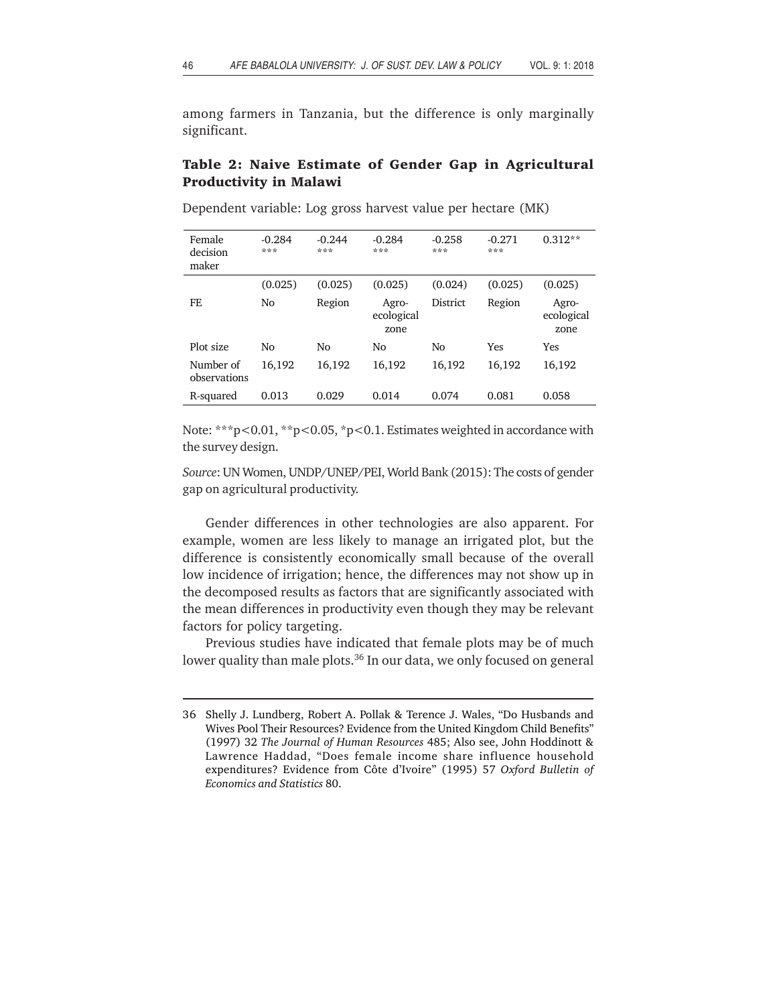among farmers in Tanzania, but the difference is only marginally significant.

## **Table 2: Naive Estimate of Gender Gap in Agricultural Productivity in Malawi**

| Female<br>decision<br>maker | $-0.284$<br>*** | $-0.244$<br>*** | $-0.284$<br>***             | $-0.258$<br>*** | $-0.271$<br>*** | $0.312**$                   |
|-----------------------------|-----------------|-----------------|-----------------------------|-----------------|-----------------|-----------------------------|
|                             | (0.025)         | (0.025)         | (0.025)                     | (0.024)         | (0.025)         | (0.025)                     |
| FE                          | No              | Region          | Agro-<br>ecological<br>zone | District        | Region          | Agro-<br>ecological<br>zone |
| Plot size                   | No              | No              | No                          | No              | Yes             | Yes                         |
| Number of<br>observations   | 16,192          | 16,192          | 16,192                      | 16,192          | 16,192          | 16,192                      |
| R-squared                   | 0.013           | 0.029           | 0.014                       | 0.074           | 0.081           | 0.058                       |

Dependent variable: Log gross harvest value per hectare (MK)

Note: \*\*\*p<0.01, \*\*p<0.05, \*p<0.1. Estimates weighted in accordance with the survey design.

*Source*: UN Women, UNDP/UNEP/PEI, World Bank (2015): The costs of gender gap on agricultural productivity.

Gender differences in other technologies are also apparent. For example, women are less likely to manage an irrigated plot, but the difference is consistently economically small because of the overall low incidence of irrigation; hence, the differences may not show up in the decomposed results as factors that are significantly associated with the mean differences in productivity even though they may be relevant factors for policy targeting.

Previous studies have indicated that female plots may be of much lower quality than male plots.<sup>36</sup> In our data, we only focused on general

<sup>36</sup> Shelly J. Lundberg, Robert A. Pollak & Terence J. Wales, "Do Husbands and Wives Pool Their Resources? Evidence from the United Kingdom Child Benefits" (1997) 32 *The Journal of Human Resources* 485; Also see, John Hoddinott & Lawrence Haddad, "Does female income share influence household expenditures? Evidence from Côte d'Ivoire" (1995) 57 *Oxford Bulletin of Economics and Statistics* 80.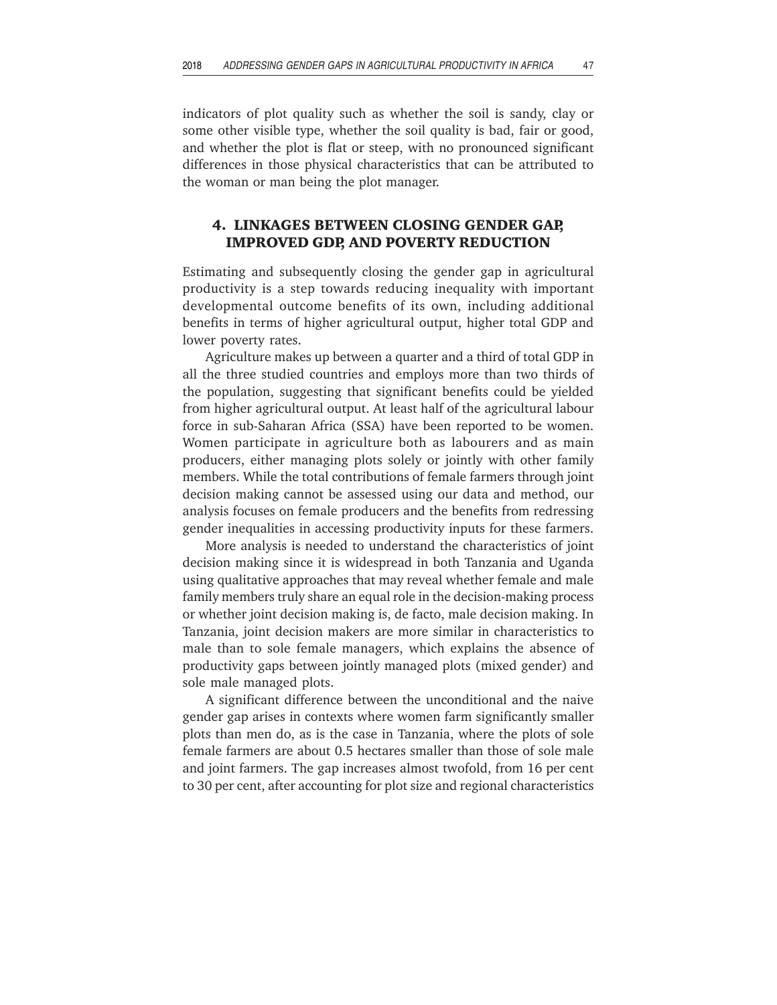indicators of plot quality such as whether the soil is sandy, clay or some other visible type, whether the soil quality is bad, fair or good, and whether the plot is flat or steep, with no pronounced significant differences in those physical characteristics that can be attributed to the woman or man being the plot manager.

## **4. LINKAGES BETWEEN CLOSING GENDER GAP, IMPROVED GDP, AND POVERTY REDUCTION**

Estimating and subsequently closing the gender gap in agricultural productivity is a step towards reducing inequality with important developmental outcome benefits of its own, including additional benefits in terms of higher agricultural output, higher total GDP and lower poverty rates.

Agriculture makes up between a quarter and a third of total GDP in all the three studied countries and employs more than two thirds of the population, suggesting that significant benefits could be yielded from higher agricultural output. At least half of the agricultural labour force in sub-Saharan Africa (SSA) have been reported to be women. Women participate in agriculture both as labourers and as main producers, either managing plots solely or jointly with other family members. While the total contributions of female farmers through joint decision making cannot be assessed using our data and method, our analysis focuses on female producers and the benefits from redressing gender inequalities in accessing productivity inputs for these farmers.

More analysis is needed to understand the characteristics of joint decision making since it is widespread in both Tanzania and Uganda using qualitative approaches that may reveal whether female and male family members truly share an equal role in the decision-making process or whether joint decision making is, de facto, male decision making. In Tanzania, joint decision makers are more similar in characteristics to male than to sole female managers, which explains the absence of productivity gaps between jointly managed plots (mixed gender) and sole male managed plots.

A significant difference between the unconditional and the naive gender gap arises in contexts where women farm significantly smaller plots than men do, as is the case in Tanzania, where the plots of sole female farmers are about 0.5 hectares smaller than those of sole male and joint farmers. The gap increases almost twofold, from 16 per cent to 30 per cent, after accounting for plot size and regional characteristics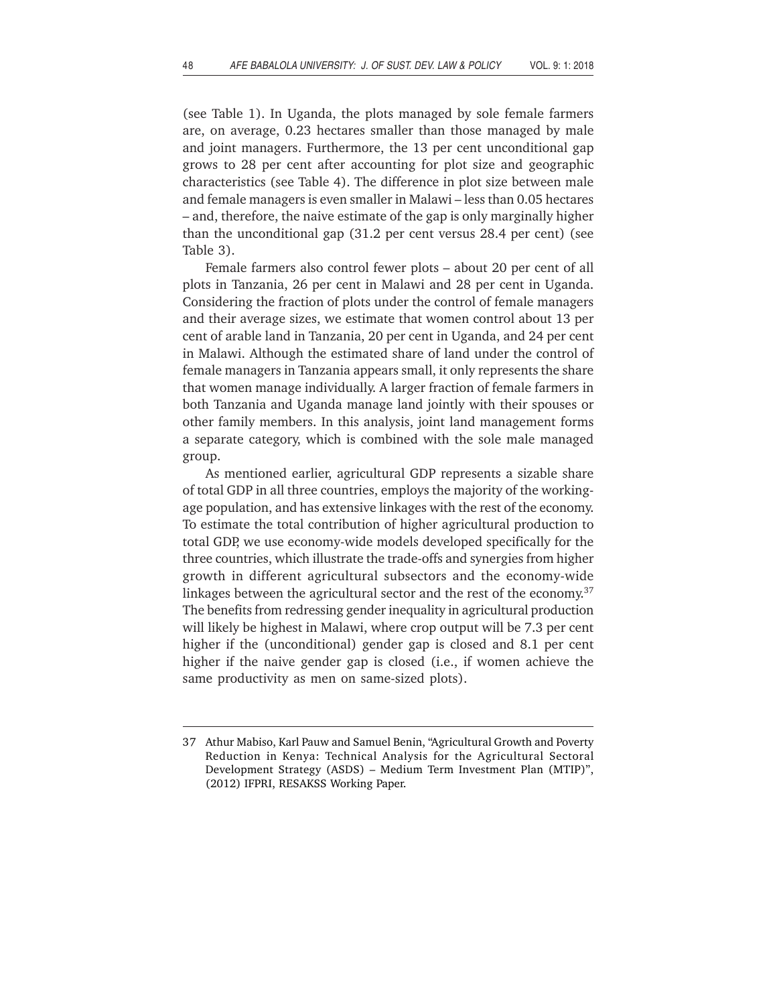(see Table 1). In Uganda, the plots managed by sole female farmers are, on average, 0.23 hectares smaller than those managed by male and joint managers. Furthermore, the 13 per cent unconditional gap grows to 28 per cent after accounting for plot size and geographic characteristics (see Table 4). The difference in plot size between male and female managers is even smaller in Malawi – less than 0.05 hectares – and, therefore, the naive estimate of the gap is only marginally higher than the unconditional gap (31.2 per cent versus 28.4 per cent) (see Table 3).

Female farmers also control fewer plots – about 20 per cent of all plots in Tanzania, 26 per cent in Malawi and 28 per cent in Uganda. Considering the fraction of plots under the control of female managers and their average sizes, we estimate that women control about 13 per cent of arable land in Tanzania, 20 per cent in Uganda, and 24 per cent in Malawi. Although the estimated share of land under the control of female managers in Tanzania appears small, it only represents the share that women manage individually. A larger fraction of female farmers in both Tanzania and Uganda manage land jointly with their spouses or other family members. In this analysis, joint land management forms a separate category, which is combined with the sole male managed group.

As mentioned earlier, agricultural GDP represents a sizable share of total GDP in all three countries, employs the majority of the workingage population, and has extensive linkages with the rest of the economy. To estimate the total contribution of higher agricultural production to total GDP, we use economy-wide models developed specifically for the three countries, which illustrate the trade-offs and synergies from higher growth in different agricultural subsectors and the economy-wide linkages between the agricultural sector and the rest of the economy.<sup>37</sup> The benefits from redressing gender inequality in agricultural production will likely be highest in Malawi, where crop output will be 7.3 per cent higher if the (unconditional) gender gap is closed and 8.1 per cent higher if the naive gender gap is closed (i.e., if women achieve the same productivity as men on same-sized plots).

<sup>37</sup> Athur Mabiso, Karl Pauw and Samuel Benin, "Agricultural Growth and Poverty Reduction in Kenya: Technical Analysis for the Agricultural Sectoral Development Strategy (ASDS) – Medium Term Investment Plan (MTIP)", (2012) IFPRI, RESAKSS Working Paper.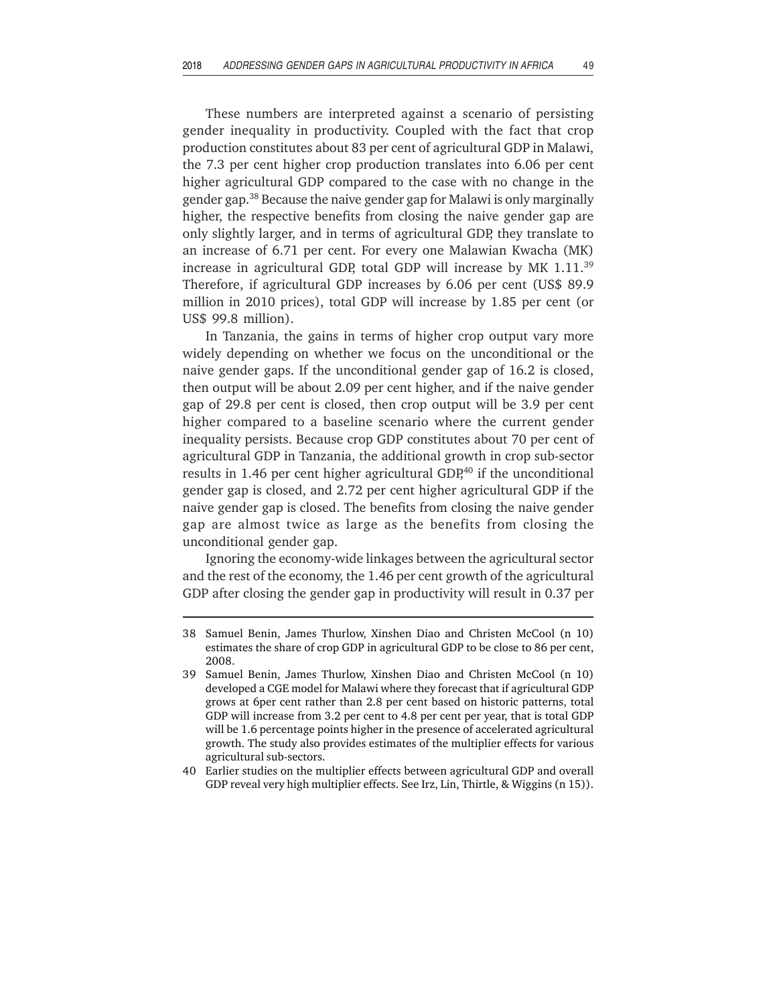These numbers are interpreted against a scenario of persisting gender inequality in productivity. Coupled with the fact that crop production constitutes about 83 per cent of agricultural GDP in Malawi, the 7.3 per cent higher crop production translates into 6.06 per cent higher agricultural GDP compared to the case with no change in the gender gap.38 Because the naive gender gap for Malawi is only marginally higher, the respective benefits from closing the naive gender gap are only slightly larger, and in terms of agricultural GDP, they translate to an increase of 6.71 per cent. For every one Malawian Kwacha (MK) increase in agricultural GDP, total GDP will increase by MK 1.11.39 Therefore, if agricultural GDP increases by 6.06 per cent (US\$ 89.9 million in 2010 prices), total GDP will increase by 1.85 per cent (or US\$ 99.8 million).

In Tanzania, the gains in terms of higher crop output vary more widely depending on whether we focus on the unconditional or the naive gender gaps. If the unconditional gender gap of 16.2 is closed, then output will be about 2.09 per cent higher, and if the naive gender gap of 29.8 per cent is closed, then crop output will be 3.9 per cent higher compared to a baseline scenario where the current gender inequality persists. Because crop GDP constitutes about 70 per cent of agricultural GDP in Tanzania, the additional growth in crop sub-sector results in 1.46 per cent higher agricultural GDP,<sup>40</sup> if the unconditional gender gap is closed, and 2.72 per cent higher agricultural GDP if the naive gender gap is closed. The benefits from closing the naive gender gap are almost twice as large as the benefits from closing the unconditional gender gap.

Ignoring the economy-wide linkages between the agricultural sector and the rest of the economy, the 1.46 per cent growth of the agricultural GDP after closing the gender gap in productivity will result in 0.37 per

<sup>38</sup> Samuel Benin, James Thurlow, Xinshen Diao and Christen McCool (n 10) estimates the share of crop GDP in agricultural GDP to be close to 86 per cent, 2008.

<sup>39</sup> Samuel Benin, James Thurlow, Xinshen Diao and Christen McCool (n 10) developed a CGE model for Malawi where they forecast that if agricultural GDP grows at 6per cent rather than 2.8 per cent based on historic patterns, total GDP will increase from 3.2 per cent to 4.8 per cent per year, that is total GDP will be 1.6 percentage points higher in the presence of accelerated agricultural growth. The study also provides estimates of the multiplier effects for various agricultural sub-sectors.

<sup>40</sup> Earlier studies on the multiplier effects between agricultural GDP and overall GDP reveal very high multiplier effects. See Irz, Lin, Thirtle, & Wiggins (n 15)).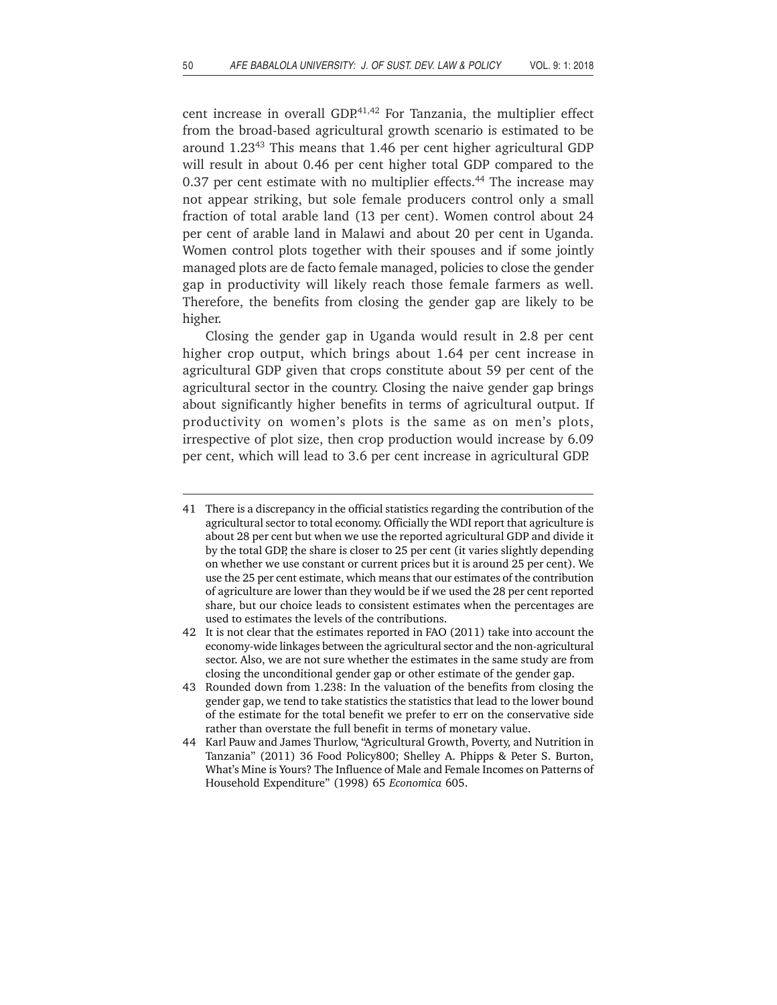cent increase in overall GDP.<sup>41,42</sup> For Tanzania, the multiplier effect from the broad-based agricultural growth scenario is estimated to be around 1.2343 This means that 1.46 per cent higher agricultural GDP will result in about 0.46 per cent higher total GDP compared to the 0.37 per cent estimate with no multiplier effects.<sup>44</sup> The increase may not appear striking, but sole female producers control only a small fraction of total arable land (13 per cent). Women control about 24 per cent of arable land in Malawi and about 20 per cent in Uganda. Women control plots together with their spouses and if some jointly managed plots are de facto female managed, policies to close the gender gap in productivity will likely reach those female farmers as well. Therefore, the benefits from closing the gender gap are likely to be higher.

Closing the gender gap in Uganda would result in 2.8 per cent higher crop output, which brings about 1.64 per cent increase in agricultural GDP given that crops constitute about 59 per cent of the agricultural sector in the country. Closing the naive gender gap brings about significantly higher benefits in terms of agricultural output. If productivity on women's plots is the same as on men's plots, irrespective of plot size, then crop production would increase by 6.09 per cent, which will lead to 3.6 per cent increase in agricultural GDP.

<sup>41</sup> There is a discrepancy in the official statistics regarding the contribution of the agricultural sector to total economy. Officially the WDI report that agriculture is about 28 per cent but when we use the reported agricultural GDP and divide it by the total GDP, the share is closer to 25 per cent (it varies slightly depending on whether we use constant or current prices but it is around 25 per cent). We use the 25 per cent estimate, which means that our estimates of the contribution of agriculture are lower than they would be if we used the 28 per cent reported share, but our choice leads to consistent estimates when the percentages are used to estimates the levels of the contributions.

<sup>42</sup> It is not clear that the estimates reported in FAO (2011) take into account the economy-wide linkages between the agricultural sector and the non-agricultural sector. Also, we are not sure whether the estimates in the same study are from closing the unconditional gender gap or other estimate of the gender gap.

<sup>43</sup> Rounded down from 1.238: In the valuation of the benefits from closing the gender gap, we tend to take statistics the statistics that lead to the lower bound of the estimate for the total benefit we prefer to err on the conservative side rather than overstate the full benefit in terms of monetary value.

<sup>44</sup> Karl Pauw and James Thurlow, "Agricultural Growth, Poverty, and Nutrition in Tanzania" (2011) 36 Food Policy800; Shelley A. Phipps & Peter S. Burton, What's Mine is Yours? The Influence of Male and Female Incomes on Patterns of Household Expenditure" (1998) 65 *Economica* 605.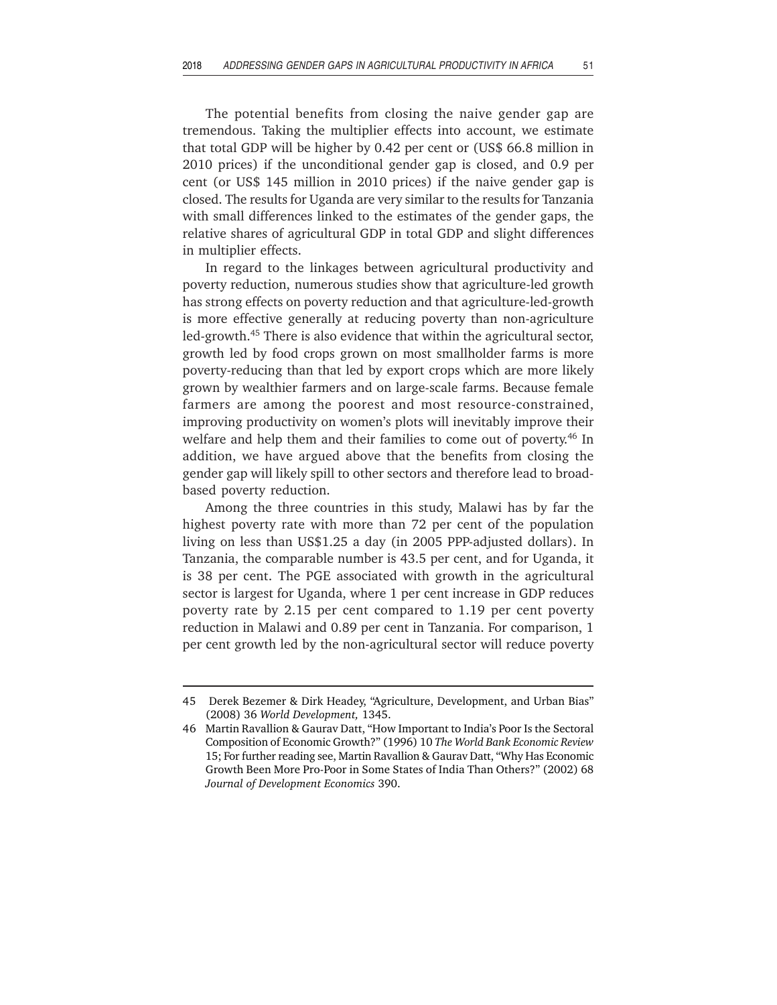The potential benefits from closing the naive gender gap are tremendous. Taking the multiplier effects into account, we estimate that total GDP will be higher by 0.42 per cent or (US\$ 66.8 million in 2010 prices) if the unconditional gender gap is closed, and 0.9 per cent (or US\$ 145 million in 2010 prices) if the naive gender gap is closed. The results for Uganda are very similar to the results for Tanzania with small differences linked to the estimates of the gender gaps, the relative shares of agricultural GDP in total GDP and slight differences in multiplier effects.

In regard to the linkages between agricultural productivity and poverty reduction, numerous studies show that agriculture-led growth has strong effects on poverty reduction and that agriculture-led-growth is more effective generally at reducing poverty than non-agriculture led-growth.45 There is also evidence that within the agricultural sector, growth led by food crops grown on most smallholder farms is more poverty-reducing than that led by export crops which are more likely grown by wealthier farmers and on large-scale farms. Because female farmers are among the poorest and most resource-constrained, improving productivity on women's plots will inevitably improve their welfare and help them and their families to come out of poverty.<sup>46</sup> In addition, we have argued above that the benefits from closing the gender gap will likely spill to other sectors and therefore lead to broadbased poverty reduction.

Among the three countries in this study, Malawi has by far the highest poverty rate with more than 72 per cent of the population living on less than US\$1.25 a day (in 2005 PPP-adjusted dollars). In Tanzania, the comparable number is 43.5 per cent, and for Uganda, it is 38 per cent. The PGE associated with growth in the agricultural sector is largest for Uganda, where 1 per cent increase in GDP reduces poverty rate by 2.15 per cent compared to 1.19 per cent poverty reduction in Malawi and 0.89 per cent in Tanzania. For comparison, 1 per cent growth led by the non-agricultural sector will reduce poverty

<sup>45</sup> Derek Bezemer & Dirk Headey, "Agriculture, Development, and Urban Bias" (2008) 36 *World Development,* 1345.

<sup>46</sup> Martin Ravallion & Gaurav Datt, "How Important to India's Poor Is the Sectoral Composition of Economic Growth?" (1996) 10 *The World Bank Economic Review* 15; For further reading see, Martin Ravallion & Gaurav Datt, "Why Has Economic Growth Been More Pro-Poor in Some States of India Than Others?" (2002) 68 *Journal of Development Economics* 390.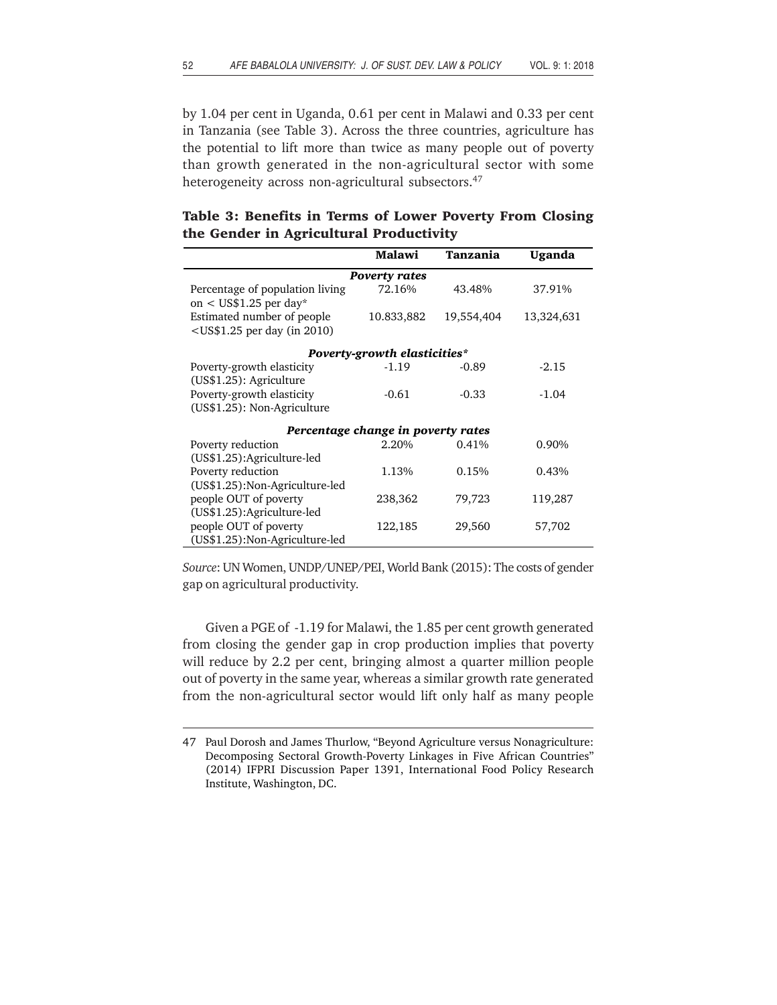by 1.04 per cent in Uganda, 0.61 per cent in Malawi and 0.33 per cent in Tanzania (see Table 3). Across the three countries, agriculture has the potential to lift more than twice as many people out of poverty than growth generated in the non-agricultural sector with some heterogeneity across non-agricultural subsectors.<sup>47</sup>

|  |  |                                         |  | Table 3: Benefits in Terms of Lower Poverty From Closing |  |
|--|--|-----------------------------------------|--|----------------------------------------------------------|--|
|  |  | the Gender in Agricultural Productivity |  |                                                          |  |

|                                                              | Malawi                              | Tanzania   | <b>Uganda</b> |
|--------------------------------------------------------------|-------------------------------------|------------|---------------|
|                                                              | <b>Poverty rates</b>                |            |               |
| Percentage of population living<br>on < $US$1.25$ per day*   | 72.16%                              | 43.48%     | 37.91%        |
| Estimated number of people<br>$<$ US\$1.25 per day (in 2010) | 10.833,882                          | 19,554,404 | 13,324,631    |
|                                                              | <b>Poverty-growth elasticities*</b> |            |               |
| Poverty-growth elasticity<br>(US\$1.25): Agriculture         | $-1.19$                             | $-0.89$    | $-2.15$       |
| Poverty-growth elasticity<br>(US\$1.25): Non-Agriculture     | $-0.61$                             | $-0.33$    | $-1.04$       |
|                                                              | Percentage change in poverty rates  |            |               |
| Poverty reduction<br>(US\$1.25):Agriculture-led              | 2.20%                               | 0.41%      | 0.90%         |
| Poverty reduction<br>(US\$1.25): Non-Agriculture-led         | 1.13%                               | 0.15%      | 0.43%         |
| people OUT of poverty<br>(US\$1.25):Agriculture-led          | 238,362                             | 79,723     | 119,287       |
| people OUT of poverty<br>(US\$1.25): Non-Agriculture-led     | 122,185                             | 29,560     | 57,702        |

*Source*: UN Women, UNDP/UNEP/PEI, World Bank (2015): The costs of gender gap on agricultural productivity*.*

Given a PGE of -1.19 for Malawi, the 1.85 per cent growth generated from closing the gender gap in crop production implies that poverty will reduce by 2.2 per cent, bringing almost a quarter million people out of poverty in the same year, whereas a similar growth rate generated from the non-agricultural sector would lift only half as many people

<sup>47</sup> Paul Dorosh and James Thurlow, "Beyond Agriculture versus Nonagriculture: Decomposing Sectoral Growth-Poverty Linkages in Five African Countries" (2014) IFPRI Discussion Paper 1391, International Food Policy Research Institute, Washington, DC.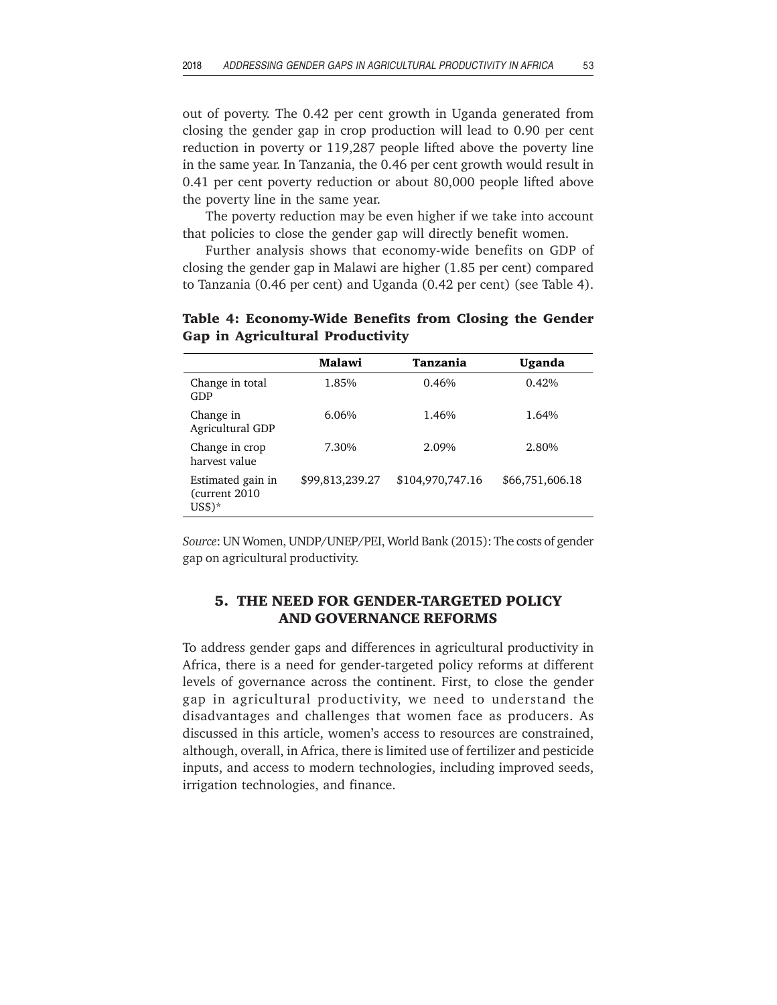out of poverty. The 0.42 per cent growth in Uganda generated from closing the gender gap in crop production will lead to 0.90 per cent reduction in poverty or 119,287 people lifted above the poverty line in the same year. In Tanzania, the 0.46 per cent growth would result in 0.41 per cent poverty reduction or about 80,000 people lifted above the poverty line in the same year.

The poverty reduction may be even higher if we take into account that policies to close the gender gap will directly benefit women.

Further analysis shows that economy-wide benefits on GDP of closing the gender gap in Malawi are higher (1.85 per cent) compared to Tanzania (0.46 per cent) and Uganda (0.42 per cent) (see Table 4).

|                                                 | Malawi          | Tanzania         | Uganda          |
|-------------------------------------------------|-----------------|------------------|-----------------|
| Change in total<br>GDP                          | 1.85%           | 0.46%            | 0.42%           |
| Change in<br>Agricultural GDP                   | 6.06%           | 1.46%            | 1.64%           |
| Change in crop<br>harvest value                 | 7.30%           | 2.09%            | 2.80%           |
| Estimated gain in<br>(current 2010)<br>$US$$ )* | \$99,813,239.27 | \$104,970,747.16 | \$66,751,606.18 |

**Table 4: Economy-Wide Benefits from Closing the Gender Gap in Agricultural Productivity**

*Source*: UN Women, UNDP/UNEP/PEI, World Bank (2015): The costs of gender gap on agricultural productivity.

# **5. THE NEED FOR GENDER-TARGETED POLICY AND GOVERNANCE REFORMS**

To address gender gaps and differences in agricultural productivity in Africa, there is a need for gender-targeted policy reforms at different levels of governance across the continent. First, to close the gender gap in agricultural productivity, we need to understand the disadvantages and challenges that women face as producers. As discussed in this article, women's access to resources are constrained, although, overall, in Africa, there is limited use of fertilizer and pesticide inputs, and access to modern technologies, including improved seeds, irrigation technologies, and finance.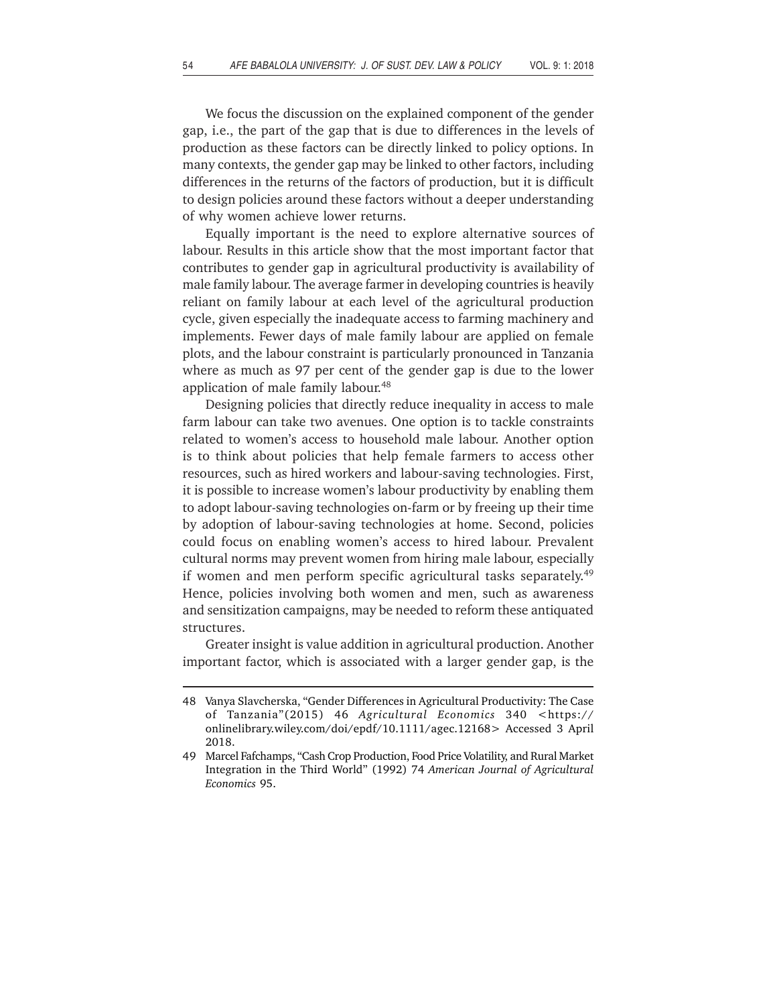We focus the discussion on the explained component of the gender gap, i.e., the part of the gap that is due to differences in the levels of production as these factors can be directly linked to policy options. In many contexts, the gender gap may be linked to other factors, including differences in the returns of the factors of production, but it is difficult to design policies around these factors without a deeper understanding of why women achieve lower returns.

Equally important is the need to explore alternative sources of labour. Results in this article show that the most important factor that contributes to gender gap in agricultural productivity is availability of male family labour. The average farmer in developing countries is heavily reliant on family labour at each level of the agricultural production cycle, given especially the inadequate access to farming machinery and implements. Fewer days of male family labour are applied on female plots, and the labour constraint is particularly pronounced in Tanzania where as much as 97 per cent of the gender gap is due to the lower application of male family labour.48

Designing policies that directly reduce inequality in access to male farm labour can take two avenues. One option is to tackle constraints related to women's access to household male labour. Another option is to think about policies that help female farmers to access other resources, such as hired workers and labour-saving technologies. First, it is possible to increase women's labour productivity by enabling them to adopt labour-saving technologies on-farm or by freeing up their time by adoption of labour-saving technologies at home. Second, policies could focus on enabling women's access to hired labour. Prevalent cultural norms may prevent women from hiring male labour, especially if women and men perform specific agricultural tasks separately.<sup>49</sup> Hence, policies involving both women and men, such as awareness and sensitization campaigns, may be needed to reform these antiquated structures.

Greater insight is value addition in agricultural production. Another important factor, which is associated with a larger gender gap, is the

<sup>48</sup> Vanya Slavcherska, "Gender Differences in Agricultural Productivity: The Case of Tanzania"(2015) 46 *Agricultural Economics* 340 <https:// onlinelibrary.wiley.com/doi/epdf/10.1111/agec.12168> Accessed 3 April 2018.

<sup>49</sup> Marcel Fafchamps, "Cash Crop Production, Food Price Volatility, and Rural Market Integration in the Third World" (1992) 74 *American Journal of Agricultural Economics* 95.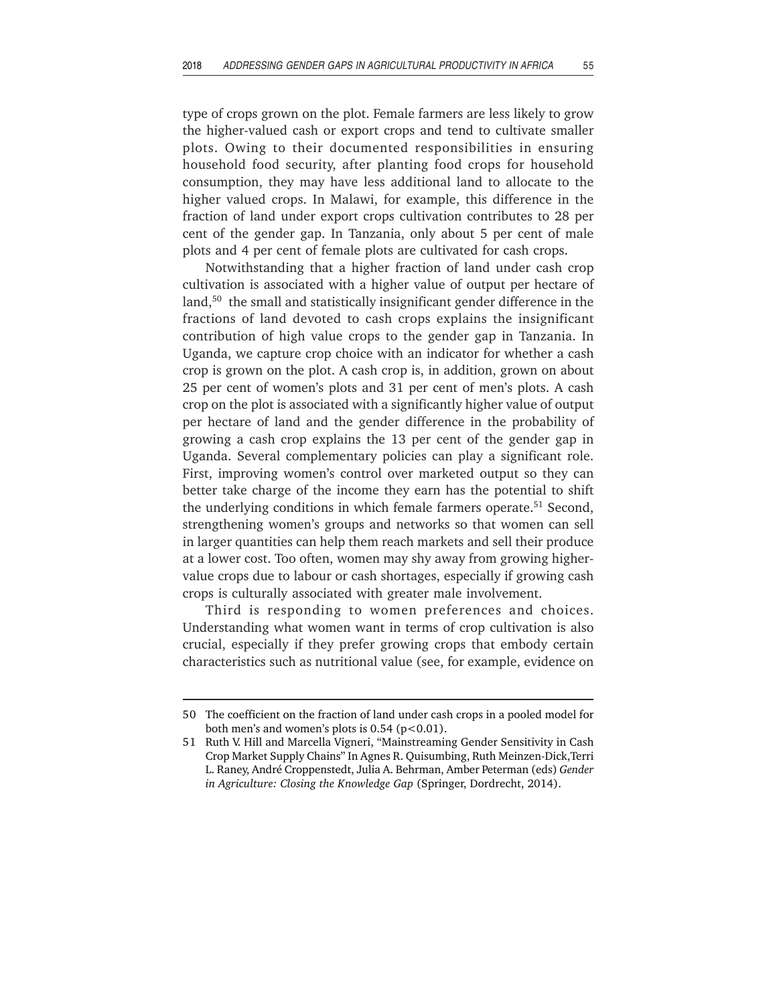type of crops grown on the plot. Female farmers are less likely to grow the higher-valued cash or export crops and tend to cultivate smaller plots. Owing to their documented responsibilities in ensuring household food security, after planting food crops for household consumption, they may have less additional land to allocate to the higher valued crops. In Malawi, for example, this difference in the fraction of land under export crops cultivation contributes to 28 per cent of the gender gap. In Tanzania, only about 5 per cent of male plots and 4 per cent of female plots are cultivated for cash crops.

Notwithstanding that a higher fraction of land under cash crop cultivation is associated with a higher value of output per hectare of land,<sup>50</sup> the small and statistically insignificant gender difference in the fractions of land devoted to cash crops explains the insignificant contribution of high value crops to the gender gap in Tanzania. In Uganda, we capture crop choice with an indicator for whether a cash crop is grown on the plot. A cash crop is, in addition, grown on about 25 per cent of women's plots and 31 per cent of men's plots. A cash crop on the plot is associated with a significantly higher value of output per hectare of land and the gender difference in the probability of growing a cash crop explains the 13 per cent of the gender gap in Uganda. Several complementary policies can play a significant role. First, improving women's control over marketed output so they can better take charge of the income they earn has the potential to shift the underlying conditions in which female farmers operate.51 Second, strengthening women's groups and networks so that women can sell in larger quantities can help them reach markets and sell their produce at a lower cost. Too often, women may shy away from growing highervalue crops due to labour or cash shortages, especially if growing cash crops is culturally associated with greater male involvement.

Third is responding to women preferences and choices. Understanding what women want in terms of crop cultivation is also crucial, especially if they prefer growing crops that embody certain characteristics such as nutritional value (see, for example, evidence on

<sup>50</sup> The coefficient on the fraction of land under cash crops in a pooled model for both men's and women's plots is  $0.54$  (p<0.01).

<sup>51</sup> Ruth V. Hill and Marcella Vigneri, "Mainstreaming Gender Sensitivity in Cash Crop Market Supply Chains" In Agnes R. Quisumbing, Ruth Meinzen-Dick,Terri L. Raney, André Croppenstedt, Julia A. Behrman, Amber Peterman (eds) *Gender in Agriculture: Closing the Knowledge Gap* (Springer, Dordrecht, 2014).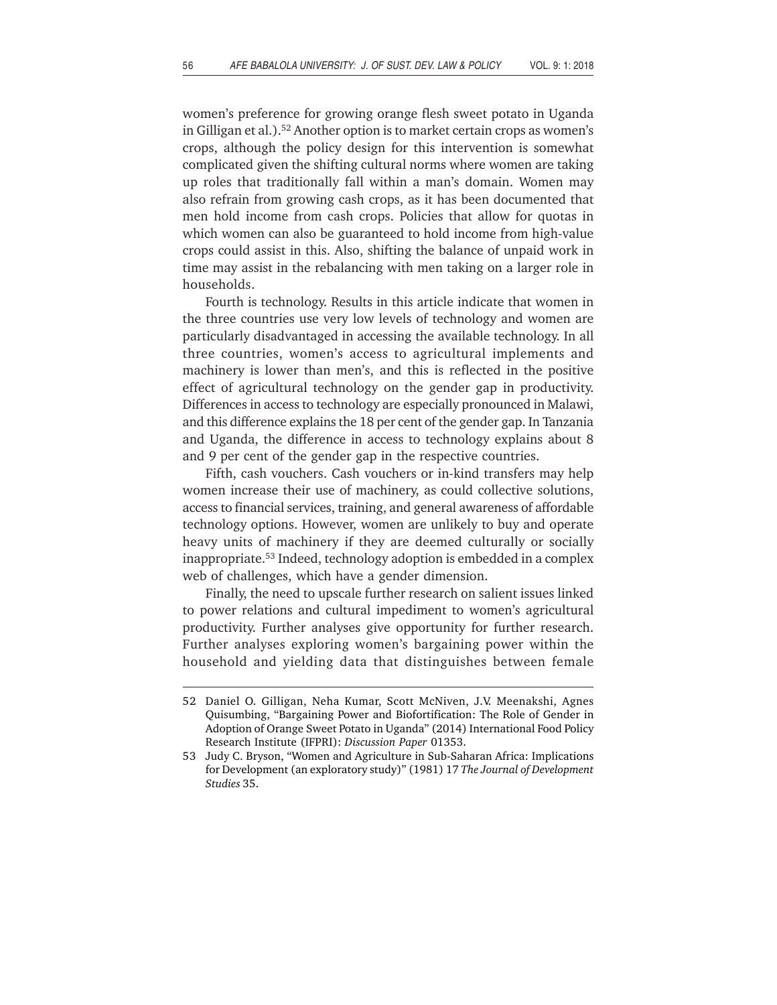women's preference for growing orange flesh sweet potato in Uganda in Gilligan et al.).<sup>52</sup> Another option is to market certain crops as women's crops, although the policy design for this intervention is somewhat complicated given the shifting cultural norms where women are taking up roles that traditionally fall within a man's domain. Women may also refrain from growing cash crops, as it has been documented that men hold income from cash crops. Policies that allow for quotas in which women can also be guaranteed to hold income from high-value crops could assist in this. Also, shifting the balance of unpaid work in time may assist in the rebalancing with men taking on a larger role in households.

Fourth is technology. Results in this article indicate that women in the three countries use very low levels of technology and women are particularly disadvantaged in accessing the available technology. In all three countries, women's access to agricultural implements and machinery is lower than men's, and this is reflected in the positive effect of agricultural technology on the gender gap in productivity. Differences in access to technology are especially pronounced in Malawi, and this difference explains the 18 per cent of the gender gap. In Tanzania and Uganda, the difference in access to technology explains about 8 and 9 per cent of the gender gap in the respective countries.

Fifth, cash vouchers. Cash vouchers or in-kind transfers may help women increase their use of machinery, as could collective solutions, access to financial services, training, and general awareness of affordable technology options. However, women are unlikely to buy and operate heavy units of machinery if they are deemed culturally or socially inappropriate.53 Indeed, technology adoption is embedded in a complex web of challenges, which have a gender dimension.

Finally, the need to upscale further research on salient issues linked to power relations and cultural impediment to women's agricultural productivity. Further analyses give opportunity for further research. Further analyses exploring women's bargaining power within the household and yielding data that distinguishes between female

<sup>52</sup> Daniel O. Gilligan, Neha Kumar, Scott McNiven, J.V. Meenakshi, Agnes Quisumbing, "Bargaining Power and Biofortification: The Role of Gender in Adoption of Orange Sweet Potato in Uganda" (2014) International Food Policy Research Institute (IFPRI): *Discussion Paper* 01353.

<sup>53</sup> Judy C. Bryson, "Women and Agriculture in Sub-Saharan Africa: Implications for Development (an exploratory study)" (1981) 17 *The Journal of Development Studies* 35.